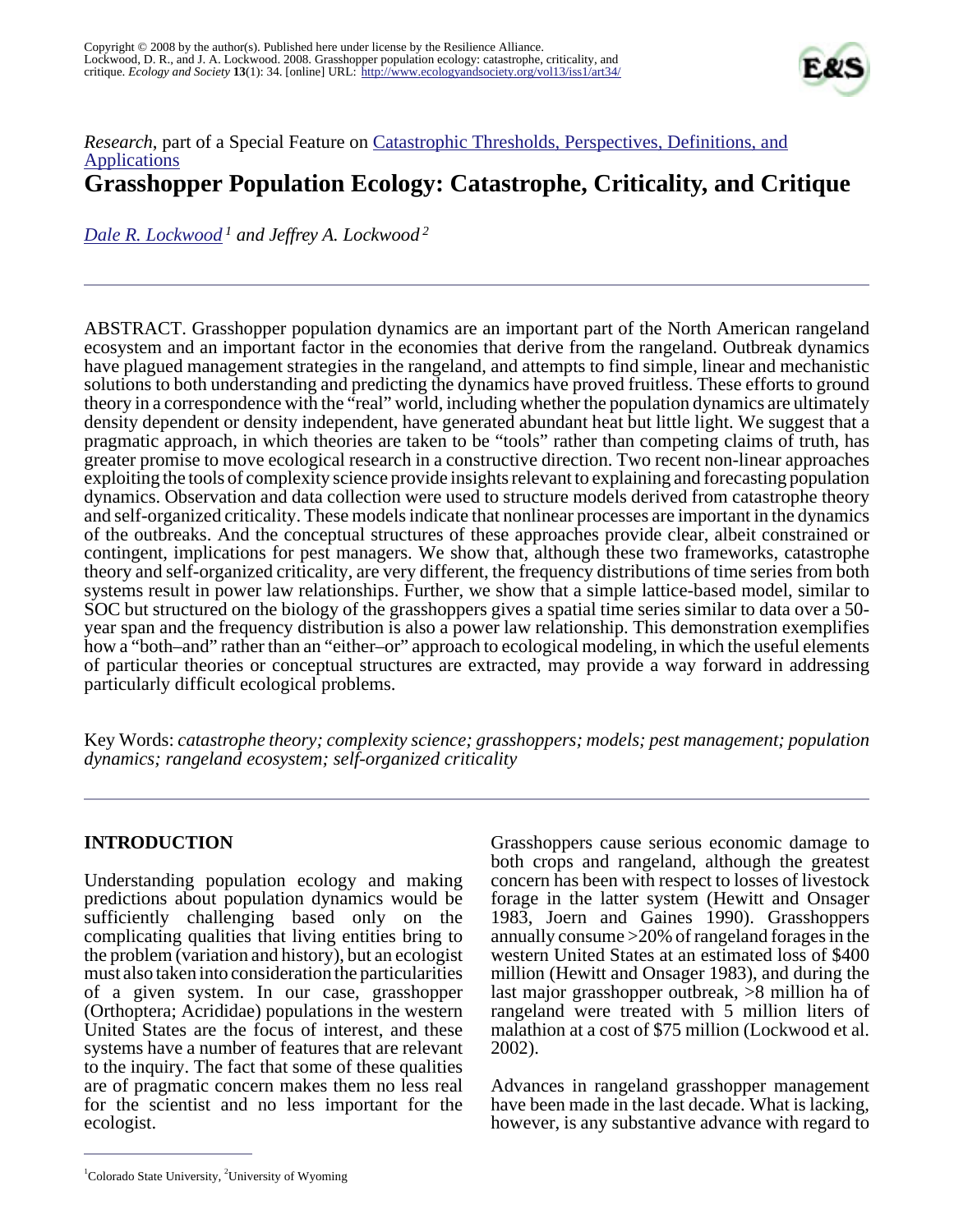

# *Research*, part of a Special Feature on [Catastrophic Thresholds, Perspectives, Definitions, and](http://www.ecologyandsociety.org/viewissue.php?sf=30) **[Applications](http://www.ecologyandsociety.org/viewissue.php?sf=30) Grasshopper Population Ecology: Catastrophe, Criticality, and Critique**

*[Dale R. Lockwood](mailto:dale.lockwood@colostate.edu)<sup>1</sup> and Jeffrey A. Lockwood<sup>2</sup>*

ABSTRACT. Grasshopper population dynamics are an important part of the North American rangeland ecosystem and an important factor in the economies that derive from the rangeland. Outbreak dynamics have plagued management strategies in the rangeland, and attempts to find simple, linear and mechanistic solutions to both understanding and predicting the dynamics have proved fruitless. These efforts to ground theory in a correspondence with the "real" world, including whether the population dynamics are ultimately density dependent or density independent, have generated abundant heat but little light. We suggest that a pragmatic approach, in which theories are taken to be "tools" rather than competing claims of truth, has greater promise to move ecological research in a constructive direction. Two recent non-linear approaches exploiting the tools of complexity science provide insights relevant to explaining and forecasting population dynamics. Observation and data collection were used to structure models derived from catastrophe theory and self-organized criticality. These models indicate that nonlinear processes are important in the dynamics of the outbreaks. And the conceptual structures of these approaches provide clear, albeit constrained or contingent, implications for pest managers. We show that, although these two frameworks, catastrophe theory and self-organized criticality, are very different, the frequency distributions of time series from both systems result in power law relationships. Further, we show that a simple lattice-based model, similar to SOC but structured on the biology of the grasshoppers gives a spatial time series similar to data over a 50 year span and the frequency distribution is also a power law relationship. This demonstration exemplifies how a "both–and" rather than an "either–or" approach to ecological modeling, in which the useful elements of particular theories or conceptual structures are extracted, may provide a way forward in addressing particularly difficult ecological problems.

Key Words: *catastrophe theory; complexity science; grasshoppers; models; pest management; population dynamics; rangeland ecosystem; self-organized criticality* 

# **INTRODUCTION**

Understanding population ecology and making predictions about population dynamics would be sufficiently challenging based only on the complicating qualities that living entities bring to the problem (variation and history), but an ecologist must also taken into consideration the particularities of a given system. In our case, grasshopper (Orthoptera; Acrididae) populations in the western United States are the focus of interest, and these systems have a number of features that are relevant to the inquiry. The fact that some of these qualities are of pragmatic concern makes them no less real for the scientist and no less important for the ecologist.

Grasshoppers cause serious economic damage to both crops and rangeland, although the greatest concern has been with respect to losses of livestock forage in the latter system (Hewitt and Onsager 1983, Joern and Gaines 1990). Grasshoppers annually consume >20% of rangeland forages in the western United States at an estimated loss of \$400 million (Hewitt and Onsager 1983), and during the last major grasshopper outbreak, >8 million ha of rangeland were treated with 5 million liters of malathion at a cost of \$75 million (Lockwood et al. 2002).

Advances in rangeland grasshopper management have been made in the last decade. What is lacking, however, is any substantive advance with regard to

<sup>&</sup>lt;sup>1</sup>Colorado State University, <sup>2</sup>University of Wyoming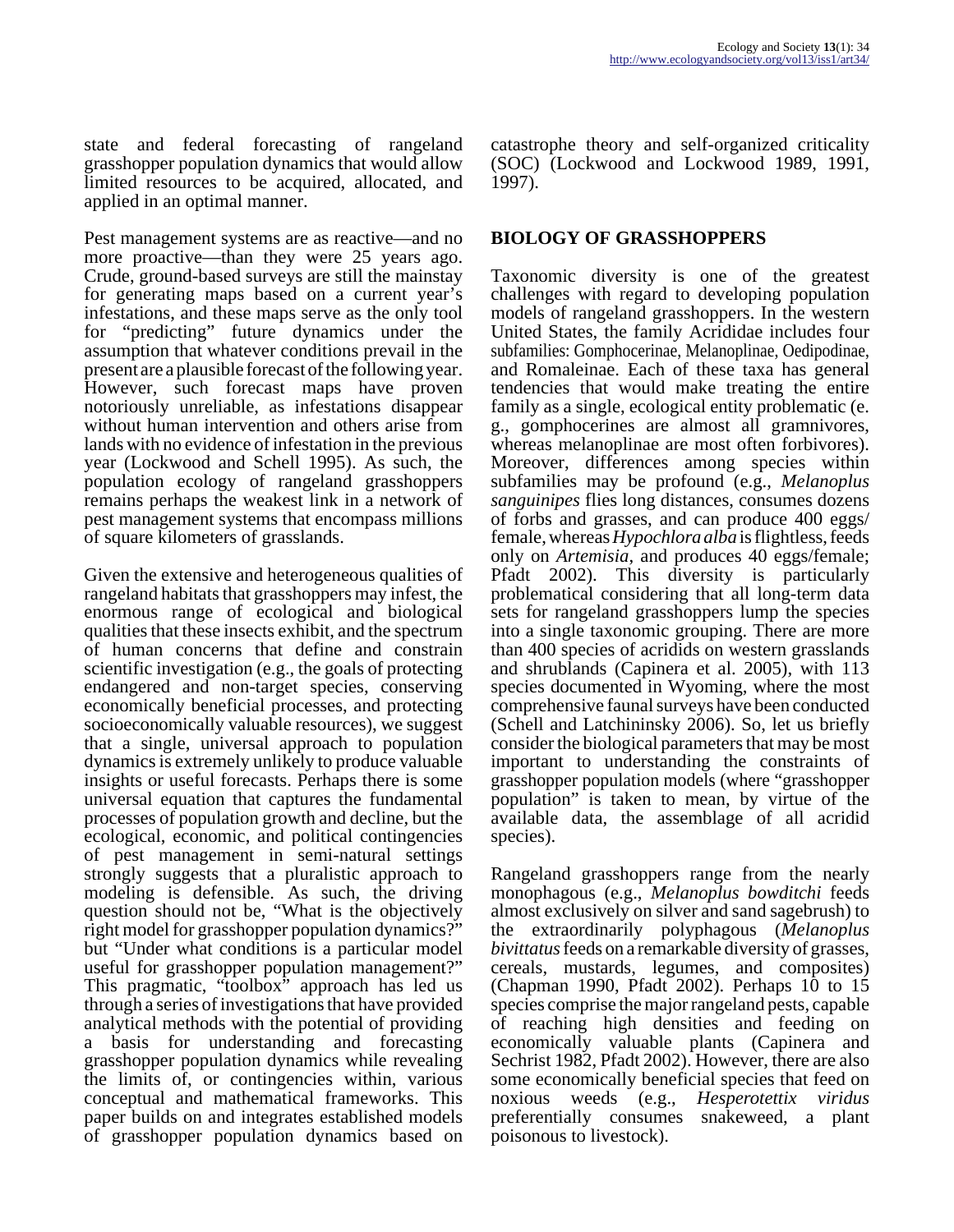state and federal forecasting of rangeland grasshopper population dynamics that would allow limited resources to be acquired, allocated, and applied in an optimal manner.

Pest management systems are as reactive—and no more proactive—than they were 25 years ago. Crude, ground-based surveys are still the mainstay for generating maps based on a current year's infestations, and these maps serve as the only tool for "predicting" future dynamics under the assumption that whatever conditions prevail in the present are a plausible forecast of the following year. However, such forecast maps have proven notoriously unreliable, as infestations disappear without human intervention and others arise from lands with no evidence of infestation in the previous year (Lockwood and Schell 1995). As such, the population ecology of rangeland grasshoppers remains perhaps the weakest link in a network of pest management systems that encompass millions of square kilometers of grasslands.

Given the extensive and heterogeneous qualities of rangeland habitats that grasshoppers may infest, the enormous range of ecological and biological qualities that these insects exhibit, and the spectrum of human concerns that define and constrain scientific investigation (e.g., the goals of protecting endangered and non-target species, conserving economically beneficial processes, and protecting socioeconomically valuable resources), we suggest that a single, universal approach to population dynamics is extremely unlikely to produce valuable insights or useful forecasts. Perhaps there is some universal equation that captures the fundamental processes of population growth and decline, but the ecological, economic, and political contingencies of pest management in semi-natural settings strongly suggests that a pluralistic approach to modeling is defensible. As such, the driving question should not be, "What is the objectively right model for grasshopper population dynamics?" but "Under what conditions is a particular model useful for grasshopper population management?" This pragmatic, "toolbox" approach has led us through a series of investigations that have provided analytical methods with the potential of providing a basis for understanding and forecasting grasshopper population dynamics while revealing the limits of, or contingencies within, various conceptual and mathematical frameworks. This paper builds on and integrates established models of grasshopper population dynamics based on

catastrophe theory and self-organized criticality (SOC) (Lockwood and Lockwood 1989, 1991, 1997).

### **BIOLOGY OF GRASSHOPPERS**

Taxonomic diversity is one of the greatest challenges with regard to developing population models of rangeland grasshoppers. In the western United States, the family Acrididae includes four subfamilies: Gomphocerinae, Melanoplinae, Oedipodinae, and Romaleinae. Each of these taxa has general tendencies that would make treating the entire family as a single, ecological entity problematic (e. g., gomphocerines are almost all gramnivores, whereas melanoplinae are most often forbivores). Moreover, differences among species within subfamilies may be profound (e.g., *Melanoplus sanguinipes* flies long distances, consumes dozens of forbs and grasses, and can produce 400 eggs/ female, whereas *Hypochlora alba* is flightless, feeds only on *Artemisia*, and produces 40 eggs/female; Pfadt 2002). This diversity is particularly problematical considering that all long-term data sets for rangeland grasshoppers lump the species into a single taxonomic grouping. There are more than 400 species of acridids on western grasslands and shrublands (Capinera et al. 2005), with 113 species documented in Wyoming, where the most comprehensive faunal surveys have been conducted (Schell and Latchininsky 2006). So, let us briefly consider the biological parameters that may be most important to understanding the constraints of grasshopper population models (where "grasshopper population" is taken to mean, by virtue of the available data, the assemblage of all acridid species).

Rangeland grasshoppers range from the nearly monophagous (e.g., *Melanoplus bowditchi* feeds almost exclusively on silver and sand sagebrush) to the extraordinarily polyphagous (*Melanoplus bivittatus* feeds on a remarkable diversity of grasses, cereals, mustards, legumes, and composites) (Chapman 1990, Pfadt 2002). Perhaps  $10$  to  $15$ species comprise the major rangeland pests, capable of reaching high densities and feeding on economically valuable plants (Capinera and Sechrist 1982, Pfadt 2002). However, there are also some economically beneficial species that feed on noxious weeds (e.g., *Hesperotettix viridus* preferentially consumes snakeweed, a plant poisonous to livestock).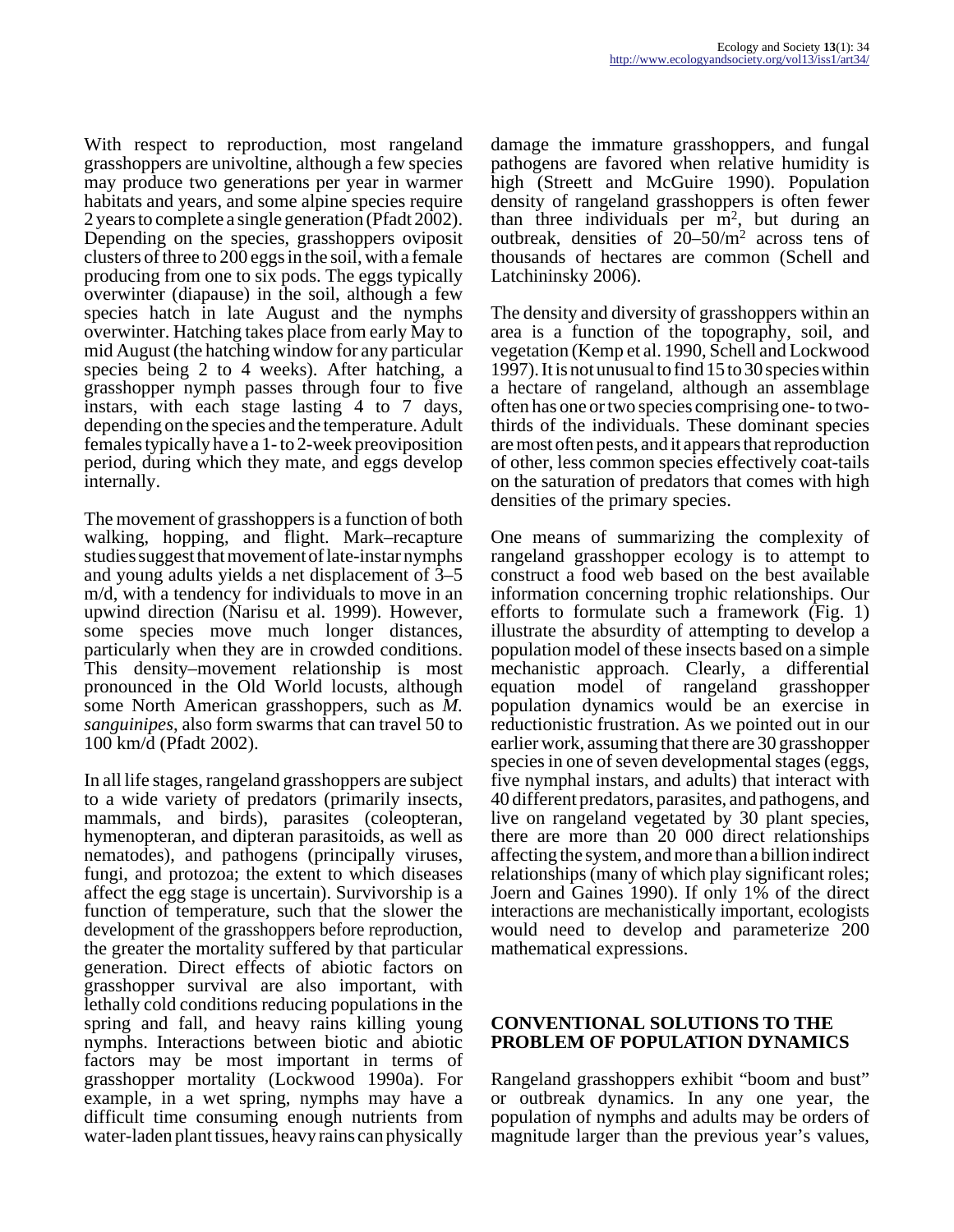With respect to reproduction, most rangeland grasshoppers are univoltine, although a few species may produce two generations per year in warmer habitats and years, and some alpine species require 2 years to complete a single generation (Pfadt 2002). Depending on the species, grasshoppers oviposit clusters of three to 200 eggs in the soil, with a female producing from one to six pods. The eggs typically overwinter (diapause) in the soil, although a few species hatch in late August and the nymphs overwinter. Hatching takes place from early May to mid August (the hatching window for any particular species being 2 to 4 weeks). After hatching, a grasshopper nymph passes through four to five instars, with each stage lasting 4 to 7 days, depending on the species and the temperature. Adult females typically have a 1- to 2-week preoviposition period, during which they mate, and eggs develop internally.

The movement of grasshoppers is a function of both walking, hopping, and flight. Mark–recapture studies suggest that movement of late-instar nymphs and young adults yields a net displacement of 3–5 m/d, with a tendency for individuals to move in an upwind direction (Narisu et al. 1999). However, some species move much longer distances, particularly when they are in crowded conditions. This density–movement relationship is most pronounced in the Old World locusts, although some North American grasshoppers, such as *M. sanguinipes*, also form swarms that can travel 50 to 100 km/d (Pfadt 2002).

In all life stages, rangeland grasshoppers are subject to a wide variety of predators (primarily insects, mammals, and birds), parasites (coleopteran, hymenopteran, and dipteran parasitoids, as well as nematodes), and pathogens (principally viruses, fungi, and protozoa; the extent to which diseases affect the egg stage is uncertain). Survivorship is a function of temperature, such that the slower the development of the grasshoppers before reproduction, the greater the mortality suffered by that particular generation. Direct effects of abiotic factors on grasshopper survival are also important, with lethally cold conditions reducing populations in the spring and fall, and heavy rains killing young nymphs. Interactions between biotic and abiotic factors may be most important in terms of grasshopper mortality (Lockwood 1990a). For example, in a wet spring, nymphs may have a difficult time consuming enough nutrients from water-laden plant tissues, heavy rains can physically

damage the immature grasshoppers, and fungal pathogens are favored when relative humidity is high (Streett and McGuire 1990). Population density of rangeland grasshoppers is often fewer than three individuals per  $\overline{m}^2$ , but during an outbreak, densities of  $20-50/m^2$  across tens of thousands of hectares are common (Schell and Latchininsky 2006).

The density and diversity of grasshoppers within an area is a function of the topography, soil, and vegetation (Kemp et al. 1990, Schell and Lockwood 1997). It is not unusual to find 15 to 30 species within a hectare of rangeland, although an assemblage often has one or two species comprising one- to twothirds of the individuals. These dominant species are most often pests, and it appears that reproduction of other, less common species effectively coat-tails on the saturation of predators that comes with high densities of the primary species.

One means of summarizing the complexity of rangeland grasshopper ecology is to attempt to construct a food web based on the best available information concerning trophic relationships. Our efforts to formulate such a framework (Fig. 1) illustrate the absurdity of attempting to develop a population model of these insects based on a simple mechanistic approach. Clearly, a differential equation model of rangeland grasshopper population dynamics would be an exercise in reductionistic frustration. As we pointed out in our earlier work, assuming that there are 30 grasshopper species in one of seven developmental stages (eggs, five nymphal instars, and adults) that interact with 40 different predators, parasites, and pathogens, and live on rangeland vegetated by 30 plant species, there are more than 20 000 direct relationships affecting the system, and more than a billion indirect relationships (many of which play significant roles; Joern and Gaines 1990). If only 1% of the direct interactions are mechanistically important, ecologists would need to develop and parameterize 200 mathematical expressions.

### **CONVENTIONAL SOLUTIONS TO THE PROBLEM OF POPULATION DYNAMICS**

Rangeland grasshoppers exhibit "boom and bust" or outbreak dynamics. In any one year, the population of nymphs and adults may be orders of magnitude larger than the previous year's values,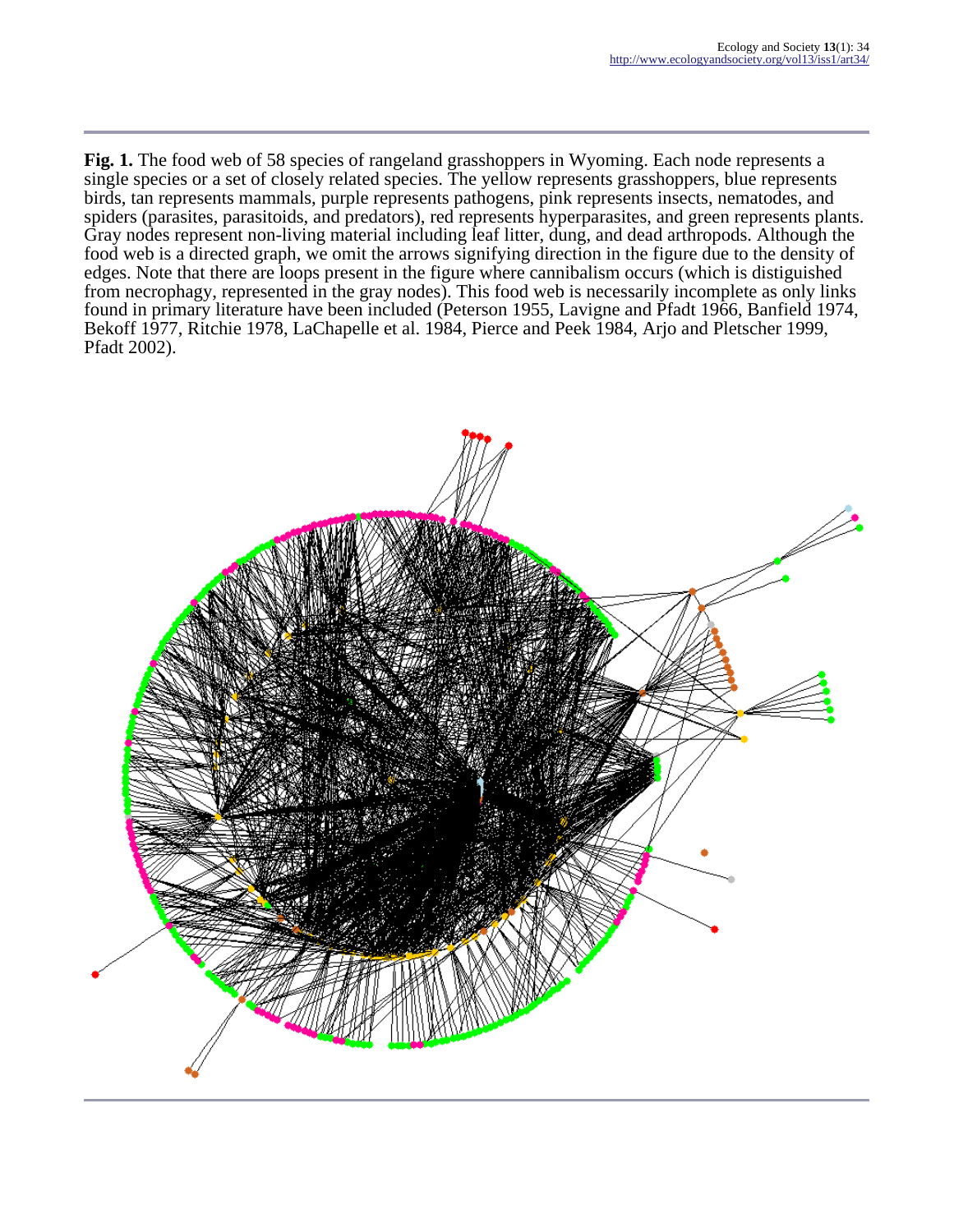**Fig. 1.** The food web of 58 species of rangeland grasshoppers in Wyoming. Each node represents a single species or a set of closely related species. The yellow represents grasshoppers, blue represents birds, tan represents mammals, purple represents pathogens, pink represents insects, nematodes, and spiders (parasites, parasitoids, and predators), red represents hyperparasites, and green represents plants. Gray nodes represent non-living material including leaf litter, dung, and dead arthropods. Although the food web is a directed graph, we omit the arrows signifying direction in the figure due to the density of edges. Note that there are loops present in the figure where cannibalism occurs (which is distiguished from necrophagy, represented in the gray nodes). This food web is necessarily incomplete as only links found in primary literature have been included (Peterson 1955, Lavigne and Pfadt 1966, Banfield 1974, Bekoff 1977, Ritchie 1978, LaChapelle et al. 1984, Pierce and Peek 1984, Arjo and Pletscher 1999, Pfadt 2002).

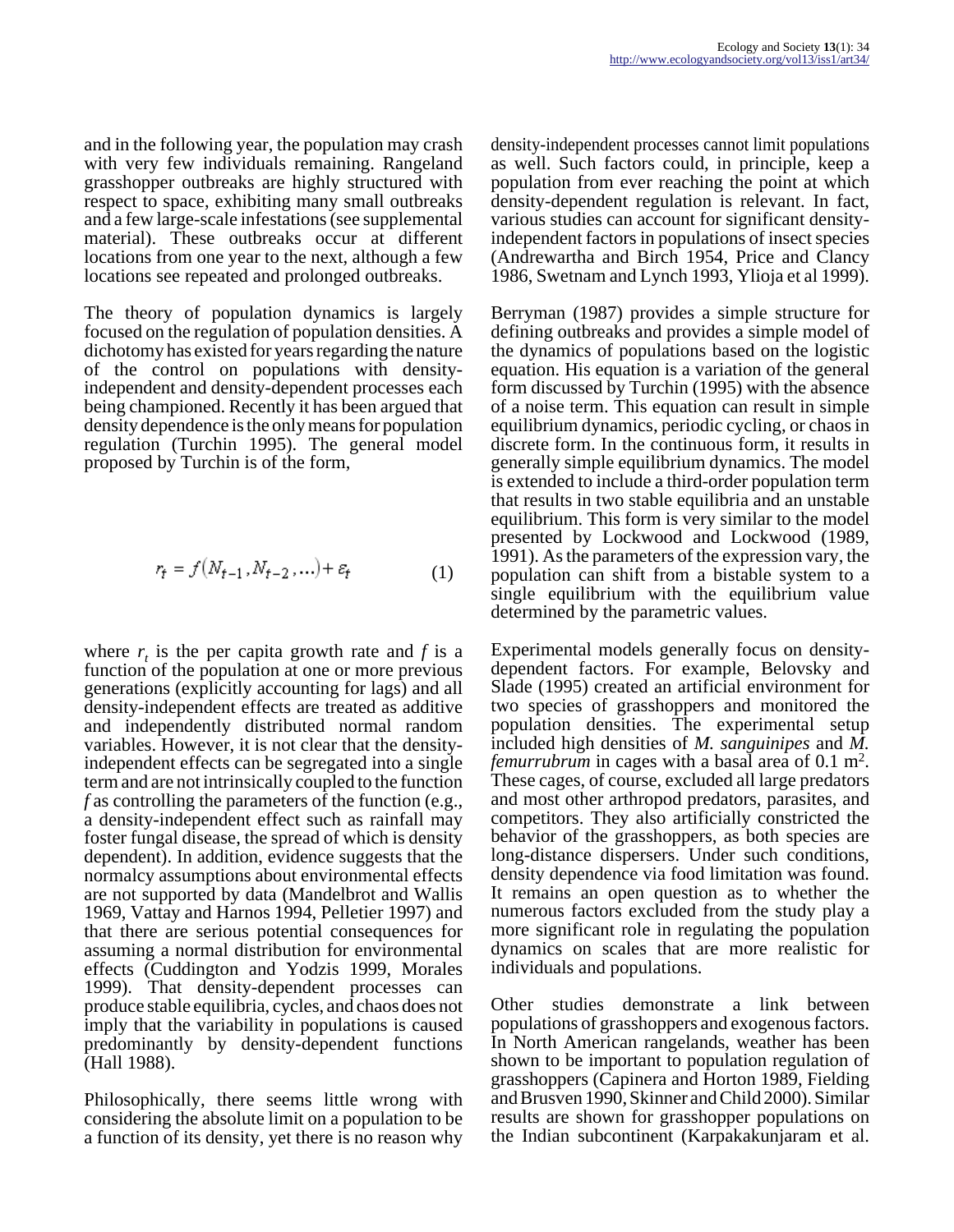and in the following year, the population may crash with very few individuals remaining. Rangeland grasshopper outbreaks are highly structured with respect to space, exhibiting many small outbreaks and a few large-scale infestations (see supplemental material). These outbreaks occur at different locations from one year to the next, although a few locations see repeated and prolonged outbreaks.

The theory of population dynamics is largely focused on the regulation of population densities. A dichotomy has existed for years regarding the nature of the control on populations with densityindependent and density-dependent processes each being championed. Recently it has been argued that density dependence is the only means for population regulation (Turchin 1995). The general model proposed by Turchin is of the form,

$$
r_t = f(N_{t-1}, N_{t-2}, \ldots) + \varepsilon_t \tag{1}
$$

where  $r<sub>t</sub>$  is the per capita growth rate and  $f$  is a function of the population at one or more previous generations (explicitly accounting for lags) and all density-independent effects are treated as additive and independently distributed normal random variables. However, it is not clear that the densityindependent effects can be segregated into a single term and are not intrinsically coupled to the function *f* as controlling the parameters of the function (e.g., a density-independent effect such as rainfall may foster fungal disease, the spread of which is density dependent). In addition, evidence suggests that the normalcy assumptions about environmental effects are not supported by data (Mandelbrot and Wallis 1969, Vattay and Harnos 1994, Pelletier 1997) and that there are serious potential consequences for assuming a normal distribution for environmental effects (Cuddington and Yodzis 1999, Morales 1999). That density-dependent processes can produce stable equilibria, cycles, and chaos does not imply that the variability in populations is caused predominantly by density-dependent functions (Hall 1988).

Philosophically, there seems little wrong with considering the absolute limit on a population to be a function of its density, yet there is no reason why density-independent processes cannot limit populations as well. Such factors could, in principle, keep a population from ever reaching the point at which density-dependent regulation is relevant. In fact, various studies can account for significant densityindependent factors in populations of insect species (Andrewartha and Birch 1954, Price and Clancy 1986, Swetnam and Lynch 1993, Ylioja et al 1999).

Berryman (1987) provides a simple structure for defining outbreaks and provides a simple model of the dynamics of populations based on the logistic equation. His equation is a variation of the general form discussed by Turchin (1995) with the absence of a noise term. This equation can result in simple equilibrium dynamics, periodic cycling, or chaos in discrete form. In the continuous form, it results in generally simple equilibrium dynamics. The model is extended to include a third-order population term that results in two stable equilibria and an unstable equilibrium. This form is very similar to the model presented by Lockwood and Lockwood (1989, 1991). As the parameters of the expression vary, the population can shift from a bistable system to a single equilibrium with the equilibrium value determined by the parametric values.

Experimental models generally focus on densitydependent factors. For example, Belovsky and Slade (1995) created an artificial environment for two species of grasshoppers and monitored the population densities. The experimental setup included high densities of *M. sanguinipes* and *M.* femurrubrum in cages with a basal area of 0.1 m<sup>2</sup>. These cages, of course, excluded all large predators and most other arthropod predators, parasites, and competitors. They also artificially constricted the behavior of the grasshoppers, as both species are long-distance dispersers. Under such conditions, density dependence via food limitation was found. It remains an open question as to whether the numerous factors excluded from the study play a more significant role in regulating the population dynamics on scales that are more realistic for individuals and populations.

Other studies demonstrate a link between populations of grasshoppers and exogenous factors. In North American rangelands, weather has been shown to be important to population regulation of grasshoppers (Capinera and Horton 1989, Fielding and Brusven 1990, Skinner and Child 2000). Similar results are shown for grasshopper populations on the Indian subcontinent (Karpakakunjaram et al.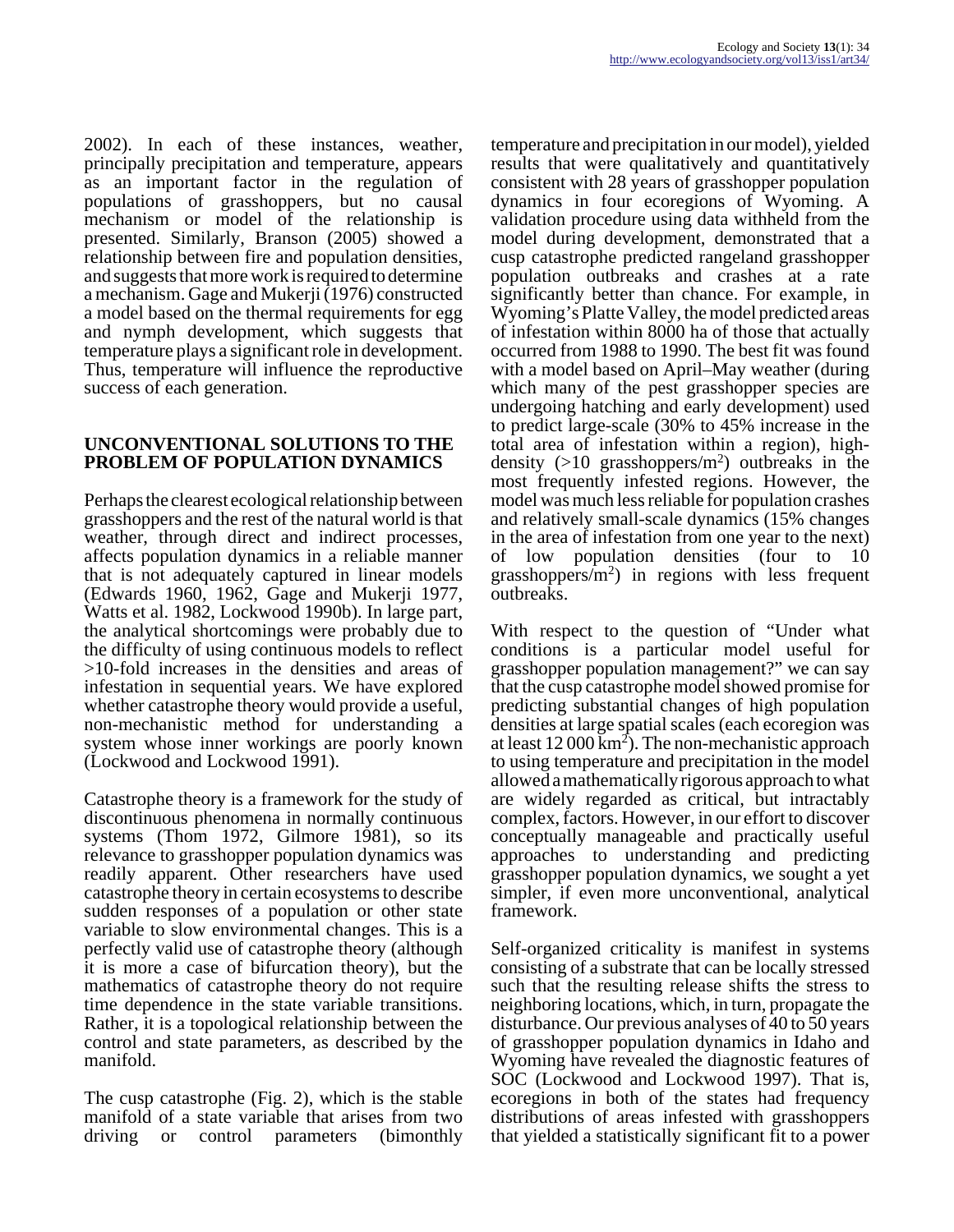2002). In each of these instances, weather, principally precipitation and temperature, appears as an important factor in the regulation of populations of grasshoppers, but no causal mechanism or model of the relationship is presented. Similarly, Branson (2005) showed a relationship between fire and population densities, and suggests that more work is required to determine a mechanism. Gage and Mukerji (1976) constructed a model based on the thermal requirements for egg and nymph development, which suggests that temperature plays a significant role in development. Thus, temperature will influence the reproductive success of each generation.

### **UNCONVENTIONAL SOLUTIONS TO THE PROBLEM OF POPULATION DYNAMICS**

Perhaps the clearest ecological relationship between grasshoppers and the rest of the natural world is that weather, through direct and indirect processes, affects population dynamics in a reliable manner that is not adequately captured in linear models (Edwards 1960, 1962, Gage and Mukerji 1977, Watts et al. 1982, Lockwood 1990b). In large part, the analytical shortcomings were probably due to the difficulty of using continuous models to reflect >10-fold increases in the densities and areas of infestation in sequential years. We have explored whether catastrophe theory would provide a useful, non-mechanistic method for understanding a system whose inner workings are poorly known (Lockwood and Lockwood 1991).

Catastrophe theory is a framework for the study of discontinuous phenomena in normally continuous systems (Thom 1972, Gilmore 1981), so its relevance to grasshopper population dynamics was readily apparent. Other researchers have used catastrophe theory in certain ecosystems to describe sudden responses of a population or other state variable to slow environmental changes. This is a perfectly valid use of catastrophe theory (although it is more a case of bifurcation theory), but the mathematics of catastrophe theory do not require time dependence in the state variable transitions. Rather, it is a topological relationship between the control and state parameters, as described by the manifold.

The cusp catastrophe (Fig. 2), which is the stable manifold of a state variable that arises from two driving or control parameters (bimonthly temperature and precipitation in our model), yielded results that were qualitatively and quantitatively consistent with 28 years of grasshopper population dynamics in four ecoregions of Wyoming. A validation procedure using data withheld from the model during development, demonstrated that a cusp catastrophe predicted rangeland grasshopper population outbreaks and crashes at a rate significantly better than chance. For example, in Wyoming's Platte Valley, the model predicted areas of infestation within 8000 ha of those that actually occurred from 1988 to 1990. The best fit was found with a model based on April–May weather (during which many of the pest grasshopper species are undergoing hatching and early development) used to predict large-scale (30% to 45% increase in the total area of infestation within a region), highdensity  $(>10$  grasshoppers/m<sup>2</sup>) outbreaks in the most frequently infested regions. However, the model was much less reliable for population crashes and relatively small-scale dynamics (15% changes in the area of infestation from one year to the next) of low population densities (four to 10 grasshoppers/m<sup>2</sup> ) in regions with less frequent outbreaks.

With respect to the question of "Under what conditions is a particular model useful for grasshopper population management?" we can say that the cusp catastrophe model showed promise for predicting substantial changes of high population densities at large spatial scales (each ecoregion was at least  $12000 \mathrm{km^2}$ ). The non-mechanistic approach to using temperature and precipitation in the model allowed a mathematically rigorous approach to what are widely regarded as critical, but intractably complex, factors. However, in our effort to discover conceptually manageable and practically useful approaches to understanding and predicting grasshopper population dynamics, we sought a yet simpler, if even more unconventional, analytical framework.

Self-organized criticality is manifest in systems consisting of a substrate that can be locally stressed such that the resulting release shifts the stress to neighboring locations, which, in turn, propagate the disturbance. Our previous analyses of 40 to 50 years of grasshopper population dynamics in Idaho and Wyoming have revealed the diagnostic features of SOC (Lockwood and Lockwood 1997). That is, ecoregions in both of the states had frequency distributions of areas infested with grasshoppers that yielded a statistically significant fit to a power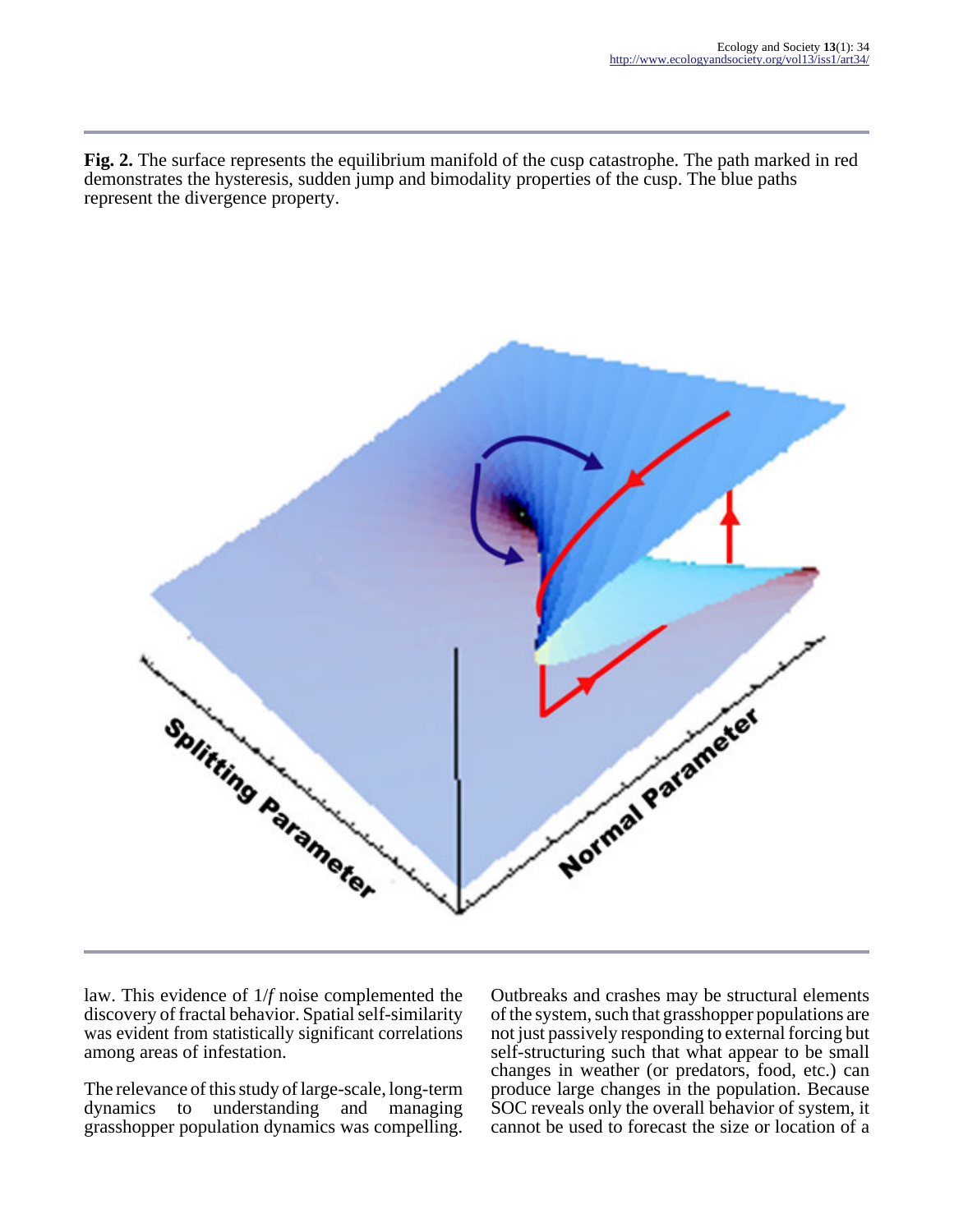**Fig. 2.** The surface represents the equilibrium manifold of the cusp catastrophe. The path marked in red demonstrates the hysteresis, sudden jump and bimodality properties of the cusp. The blue paths represent the divergence property.



law. This evidence of 1/*f* noise complemented the discovery of fractal behavior. Spatial self-similarity was evident from statistically significant correlations among areas of infestation.

The relevance of this study of large-scale, long-term dynamics to understanding and managing grasshopper population dynamics was compelling. Outbreaks and crashes may be structural elements of the system, such that grasshopper populations are not just passively responding to external forcing but self-structuring such that what appear to be small changes in weather (or predators, food, etc.) can produce large changes in the population. Because SOC reveals only the overall behavior of system, it cannot be used to forecast the size or location of a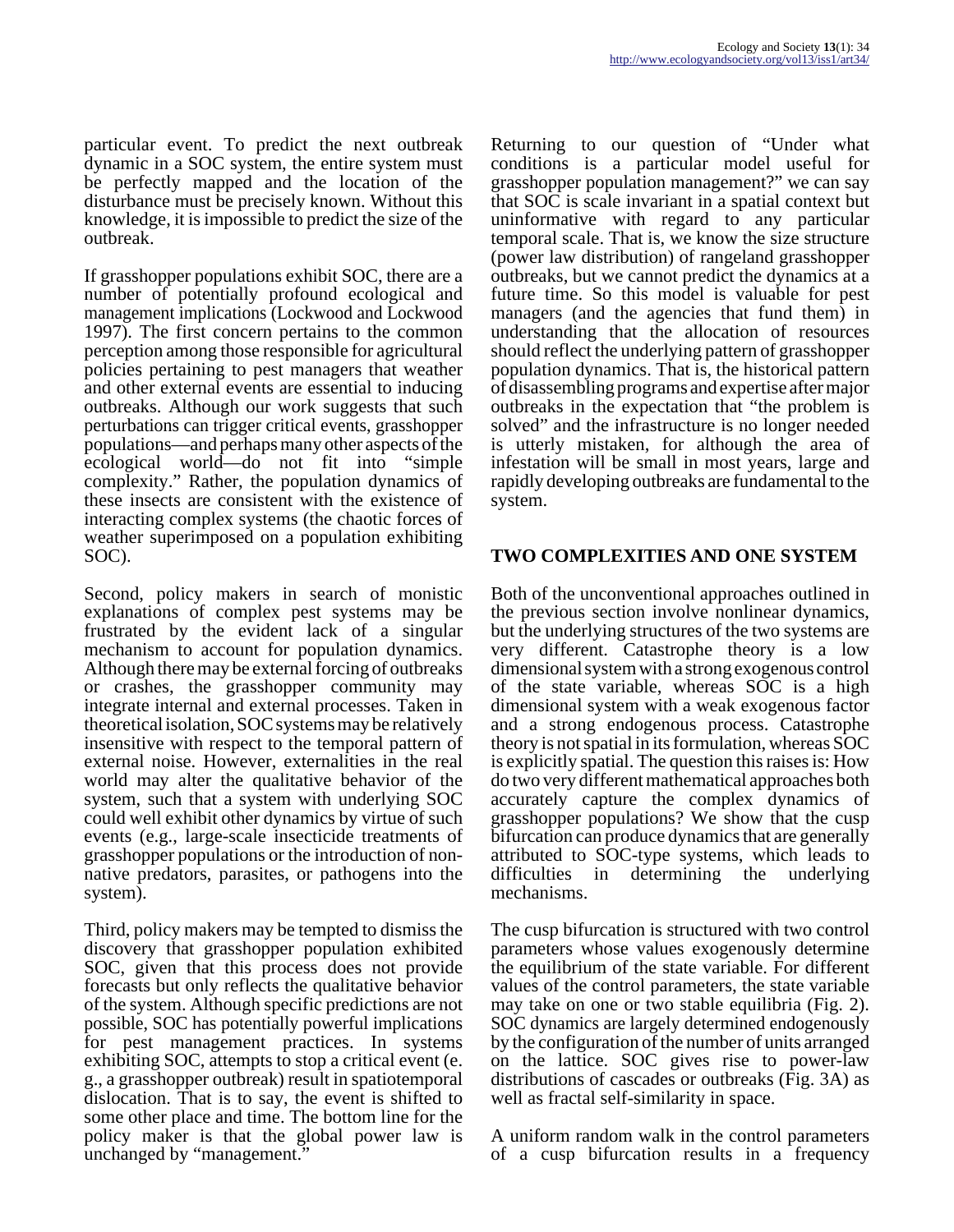particular event. To predict the next outbreak dynamic in a SOC system, the entire system must be perfectly mapped and the location of the disturbance must be precisely known. Without this knowledge, it is impossible to predict the size of the outbreak.

If grasshopper populations exhibit SOC, there are a number of potentially profound ecological and management implications (Lockwood and Lockwood 1997). The first concern pertains to the common perception among those responsible for agricultural policies pertaining to pest managers that weather and other external events are essential to inducing outbreaks. Although our work suggests that such perturbations can trigger critical events, grasshopper populations—and perhaps many other aspects of the ecological world—do not fit into "simple complexity." Rather, the population dynamics of these insects are consistent with the existence of interacting complex systems (the chaotic forces of weather superimposed on a population exhibiting SOC).

Second, policy makers in search of monistic explanations of complex pest systems may be frustrated by the evident lack of a singular mechanism to account for population dynamics. Although there may be external forcing of outbreaks or crashes, the grasshopper community may integrate internal and external processes. Taken in theoretical isolation, SOC systems may be relatively insensitive with respect to the temporal pattern of external noise. However, externalities in the real world may alter the qualitative behavior of the system, such that a system with underlying SOC could well exhibit other dynamics by virtue of such events (e.g., large-scale insecticide treatments of grasshopper populations or the introduction of nonnative predators, parasites, or pathogens into the system).

Third, policy makers may be tempted to dismiss the discovery that grasshopper population exhibited SOC, given that this process does not provide forecasts but only reflects the qualitative behavior of the system. Although specific predictions are not possible, SOC has potentially powerful implications for pest management practices. In systems exhibiting SOC, attempts to stop a critical event (e. g., a grasshopper outbreak) result in spatiotemporal dislocation. That is to say, the event is shifted to some other place and time. The bottom line for the policy maker is that the global power law is unchanged by "management."

Returning to our question of "Under what conditions is a particular model useful for grasshopper population management?" we can say that SOC is scale invariant in a spatial context but uninformative with regard to any particular temporal scale. That is, we know the size structure (power law distribution) of rangeland grasshopper outbreaks, but we cannot predict the dynamics at a future time. So this model is valuable for pest managers (and the agencies that fund them) in understanding that the allocation of resources should reflect the underlying pattern of grasshopper population dynamics. That is, the historical pattern of disassembling programs and expertise after major outbreaks in the expectation that "the problem is solved" and the infrastructure is no longer needed is utterly mistaken, for although the area of infestation will be small in most years, large and rapidly developing outbreaks are fundamental to the system.

# **TWO COMPLEXITIES AND ONE SYSTEM**

Both of the unconventional approaches outlined in the previous section involve nonlinear dynamics, but the underlying structures of the two systems are very different. Catastrophe theory is a low dimensional system with a strong exogenous control of the state variable, whereas SOC is a high dimensional system with a weak exogenous factor and a strong endogenous process. Catastrophe theory is not spatial in its formulation, whereas SOC is explicitly spatial. The question this raises is: How do two very different mathematical approaches both accurately capture the complex dynamics of grasshopper populations? We show that the cusp bifurcation can produce dynamics that are generally attributed to SOC-type systems, which leads to difficulties in determining the underlying mechanisms.

The cusp bifurcation is structured with two control parameters whose values exogenously determine the equilibrium of the state variable. For different values of the control parameters, the state variable may take on one or two stable equilibria (Fig. 2). SOC dynamics are largely determined endogenously by the configuration of the number of units arranged on the lattice. SOC gives rise to power-law distributions of cascades or outbreaks (Fig. 3A) as well as fractal self-similarity in space.

A uniform random walk in the control parameters of a cusp bifurcation results in a frequency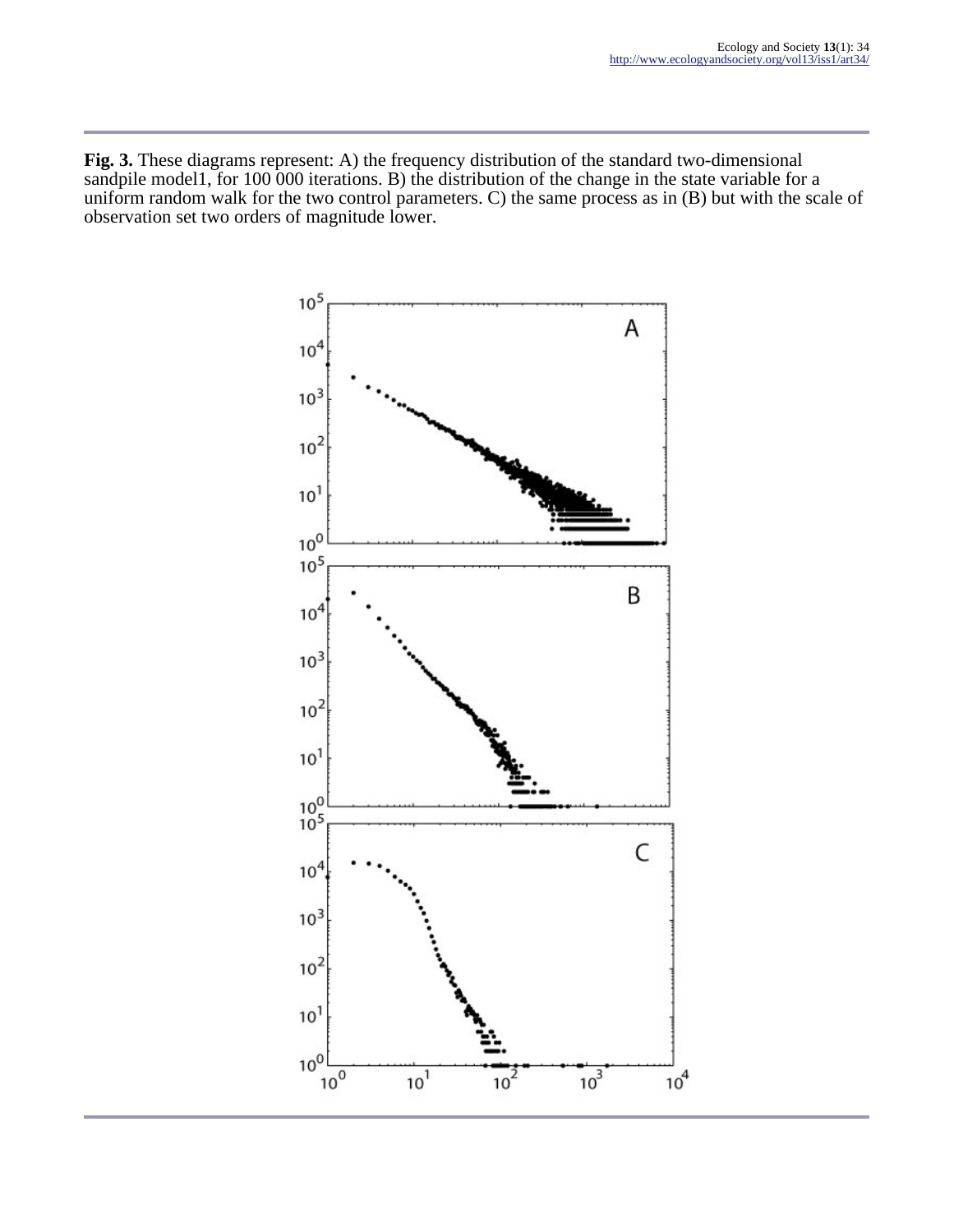**Fig. 3.** These diagrams represent: A) the frequency distribution of the standard two-dimensional sandpile model1, for 100 000 iterations. B) the distribution of the change in the state variable for a uniform random walk for the two control parameters. C) the same process as in (B) but with the scale of observation set two orders of magnitude lower.

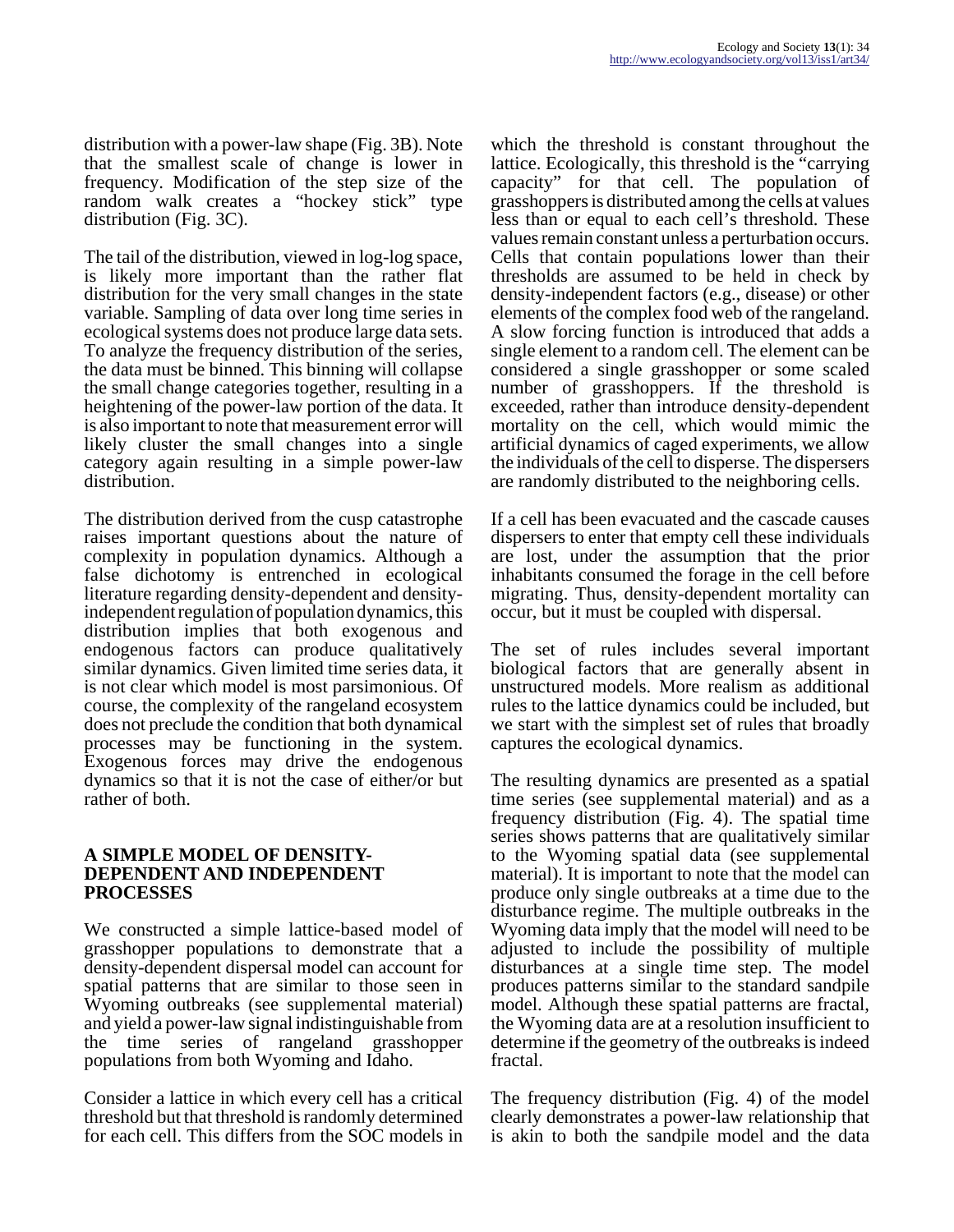distribution with a power-law shape (Fig. 3B). Note that the smallest scale of change is lower in frequency. Modification of the step size of the random walk creates a "hockey stick" type distribution (Fig. 3C).

The tail of the distribution, viewed in log-log space, is likely more important than the rather flat distribution for the very small changes in the state variable. Sampling of data over long time series in ecological systems does not produce large data sets. To analyze the frequency distribution of the series, the data must be binned. This binning will collapse the small change categories together, resulting in a heightening of the power-law portion of the data. It is also important to note that measurement error will likely cluster the small changes into a single category again resulting in a simple power-law distribution.

The distribution derived from the cusp catastrophe raises important questions about the nature of complexity in population dynamics. Although a false dichotomy is entrenched in ecological literature regarding density-dependent and densityindependent regulation of population dynamics, this distribution implies that both exogenous and endogenous factors can produce qualitatively similar dynamics. Given limited time series data, it is not clear which model is most parsimonious. Of course, the complexity of the rangeland ecosystem does not preclude the condition that both dynamical processes may be functioning in the system. Exogenous forces may drive the endogenous dynamics so that it is not the case of either/or but rather of both.

#### **A SIMPLE MODEL OF DENSITY-DEPENDENT AND INDEPENDENT PROCESSES**

We constructed a simple lattice-based model of grasshopper populations to demonstrate that a density-dependent dispersal model can account for spatial patterns that are similar to those seen in Wyoming outbreaks (see supplemental material) and yield a power-law signal indistinguishable from the time series of rangeland grasshopper populations from both Wyoming and Idaho.

Consider a lattice in which every cell has a critical threshold but that threshold is randomly determined for each cell. This differs from the SOC models in

which the threshold is constant throughout the lattice. Ecologically, this threshold is the "carrying capacity" for that cell. The population of grasshoppers is distributed among the cells at values less than or equal to each cell's threshold. These values remain constant unless a perturbation occurs. Cells that contain populations lower than their thresholds are assumed to be held in check by density-independent factors (e.g., disease) or other elements of the complex food web of the rangeland. A slow forcing function is introduced that adds a single element to a random cell. The element can be considered a single grasshopper or some scaled number of grasshoppers. If the threshold is exceeded, rather than introduce density-dependent mortality on the cell, which would mimic the artificial dynamics of caged experiments, we allow the individuals of the cell to disperse. The dispersers are randomly distributed to the neighboring cells.

If a cell has been evacuated and the cascade causes dispersers to enter that empty cell these individuals are lost, under the assumption that the prior inhabitants consumed the forage in the cell before migrating. Thus, density-dependent mortality can occur, but it must be coupled with dispersal.

The set of rules includes several important biological factors that are generally absent in unstructured models. More realism as additional rules to the lattice dynamics could be included, but we start with the simplest set of rules that broadly captures the ecological dynamics.

The resulting dynamics are presented as a spatial time series (see supplemental material) and as a frequency distribution (Fig. 4). The spatial time series shows patterns that are qualitatively similar to the Wyoming spatial data (see supplemental material). It is important to note that the model can produce only single outbreaks at a time due to the disturbance regime. The multiple outbreaks in the Wyoming data imply that the model will need to be adjusted to include the possibility of multiple disturbances at a single time step. The model produces patterns similar to the standard sandpile model. Although these spatial patterns are fractal, the Wyoming data are at a resolution insufficient to determine if the geometry of the outbreaks is indeed fractal.

The frequency distribution (Fig. 4) of the model clearly demonstrates a power-law relationship that is akin to both the sandpile model and the data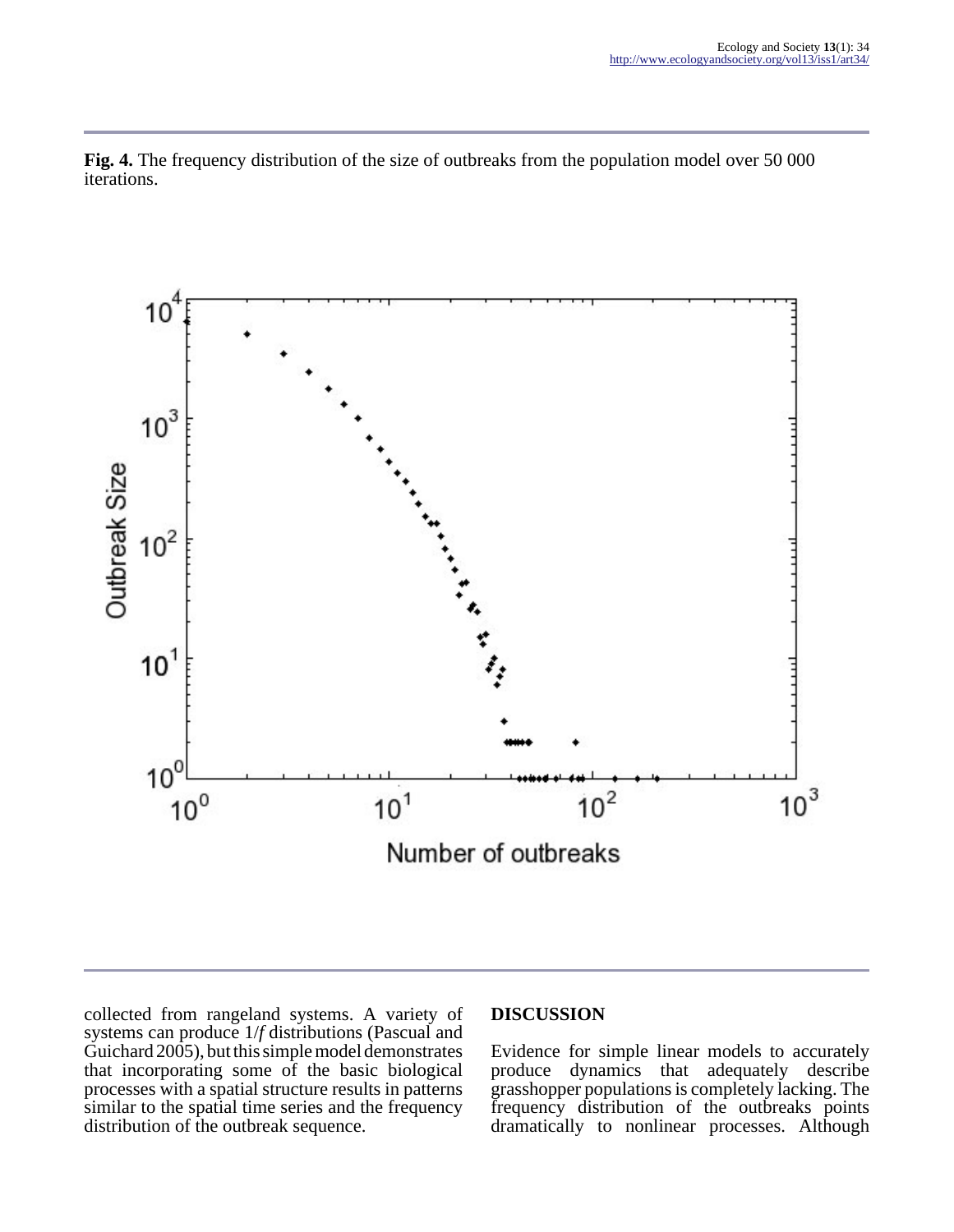

**Fig. 4.** The frequency distribution of the size of outbreaks from the population model over 50 000 iterations.

collected from rangeland systems. A variety of systems can produce 1/*f* distributions (Pascual and Guichard 2005), but this simple model demonstrates that incorporating some of the basic biological processes with a spatial structure results in patterns similar to the spatial time series and the frequency distribution of the outbreak sequence.

## **DISCUSSION**

Evidence for simple linear models to accurately produce dynamics that adequately describe grasshopper populations is completely lacking. The frequency distribution of the outbreaks points dramatically to nonlinear processes. Although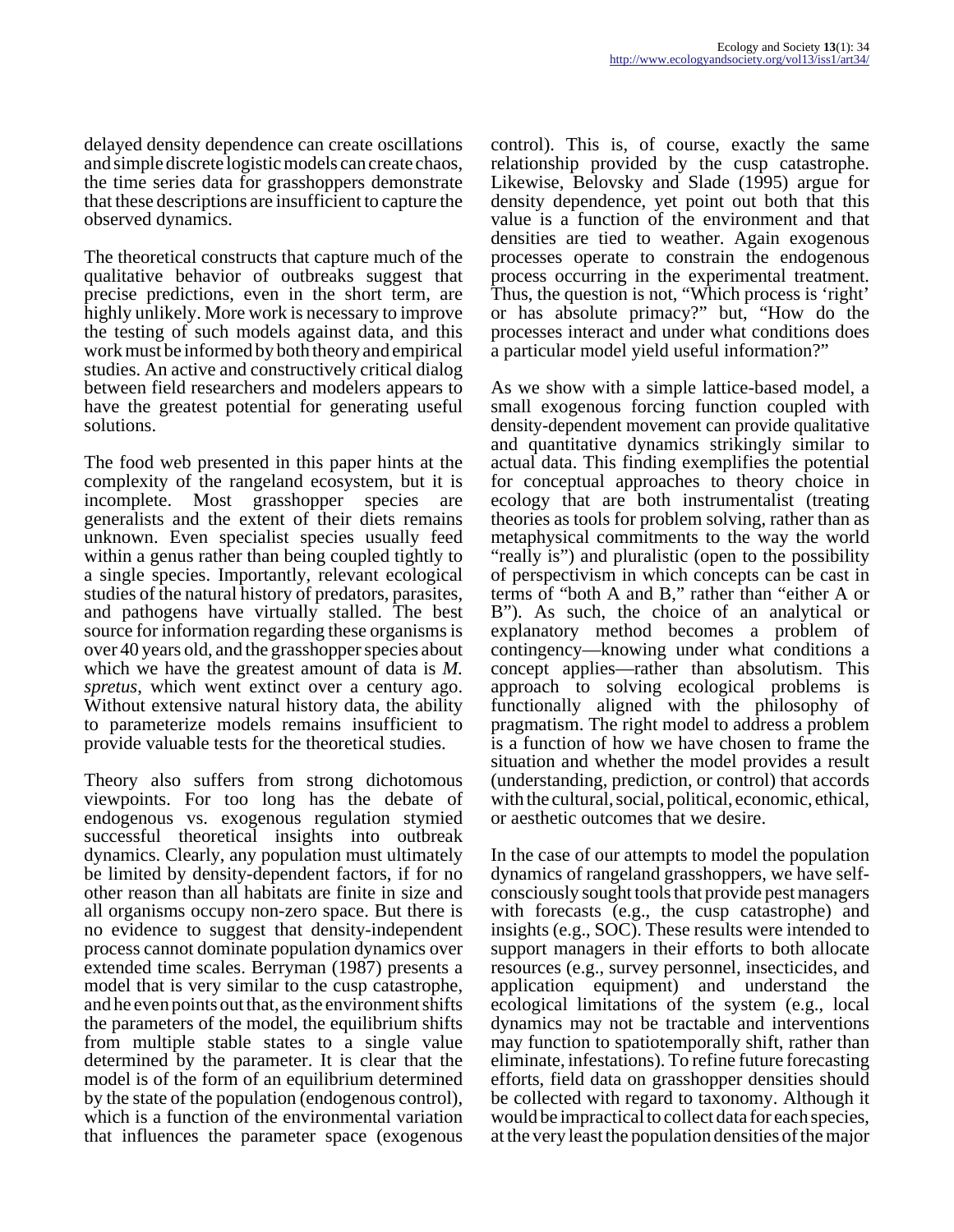delayed density dependence can create oscillations and simple discrete logistic models can create chaos, the time series data for grasshoppers demonstrate that these descriptions are insufficient to capture the observed dynamics.

The theoretical constructs that capture much of the qualitative behavior of outbreaks suggest that precise predictions, even in the short term, are highly unlikely. More work is necessary to improve the testing of such models against data, and this work must be informed by both theory and empirical studies. An active and constructively critical dialog between field researchers and modelers appears to have the greatest potential for generating useful solutions.

The food web presented in this paper hints at the complexity of the rangeland ecosystem, but it is incomplete. Most grasshopper species are generalists and the extent of their diets remains unknown. Even specialist species usually feed within a genus rather than being coupled tightly to a single species. Importantly, relevant ecological studies of the natural history of predators, parasites, and pathogens have virtually stalled. The best source for information regarding these organisms is over 40 years old, and the grasshopper species about which we have the greatest amount of data is *M. spretus*, which went extinct over a century ago. Without extensive natural history data, the ability to parameterize models remains insufficient to provide valuable tests for the theoretical studies.

Theory also suffers from strong dichotomous viewpoints. For too long has the debate of endogenous vs. exogenous regulation stymied successful theoretical insights into outbreak dynamics. Clearly, any population must ultimately be limited by density-dependent factors, if for no other reason than all habitats are finite in size and all organisms occupy non-zero space. But there is no evidence to suggest that density-independent process cannot dominate population dynamics over extended time scales. Berryman (1987) presents a model that is very similar to the cusp catastrophe, and he even points out that, as the environment shifts the parameters of the model, the equilibrium shifts from multiple stable states to a single value determined by the parameter. It is clear that the model is of the form of an equilibrium determined by the state of the population (endogenous control), which is a function of the environmental variation that influences the parameter space (exogenous

control). This is, of course, exactly the same relationship provided by the cusp catastrophe. Likewise, Belovsky and Slade (1995) argue for density dependence, yet point out both that this value is a function of the environment and that densities are tied to weather. Again exogenous processes operate to constrain the endogenous process occurring in the experimental treatment. Thus, the question is not, "Which process is 'right' or has absolute primacy?" but, "How do the processes interact and under what conditions does a particular model yield useful information?"

As we show with a simple lattice-based model, a small exogenous forcing function coupled with density-dependent movement can provide qualitative and quantitative dynamics strikingly similar to actual data. This finding exemplifies the potential for conceptual approaches to theory choice in ecology that are both instrumentalist (treating theories as tools for problem solving, rather than as metaphysical commitments to the way the world "really is") and pluralistic (open to the possibility of perspectivism in which concepts can be cast in terms of "both A and B," rather than "either A or B"). As such, the choice of an analytical or explanatory method becomes a problem of contingency—knowing under what conditions a concept applies—rather than absolutism. This approach to solving ecological problems is functionally aligned with the philosophy of pragmatism. The right model to address a problem is a function of how we have chosen to frame the situation and whether the model provides a result (understanding, prediction, or control) that accords with the cultural, social, political, economic, ethical, or aesthetic outcomes that we desire.

In the case of our attempts to model the population dynamics of rangeland grasshoppers, we have selfconsciously sought tools that provide pest managers with forecasts (e.g., the cusp catastrophe) and insights (e.g., SOC). These results were intended to support managers in their efforts to both allocate resources (e.g., survey personnel, insecticides, and application equipment) and understand the ecological limitations of the system (e.g., local dynamics may not be tractable and interventions may function to spatiotemporally shift, rather than eliminate, infestations). To refine future forecasting efforts, field data on grasshopper densities should be collected with regard to taxonomy. Although it would be impractical to collect data for each species, at the very least the population densities of the major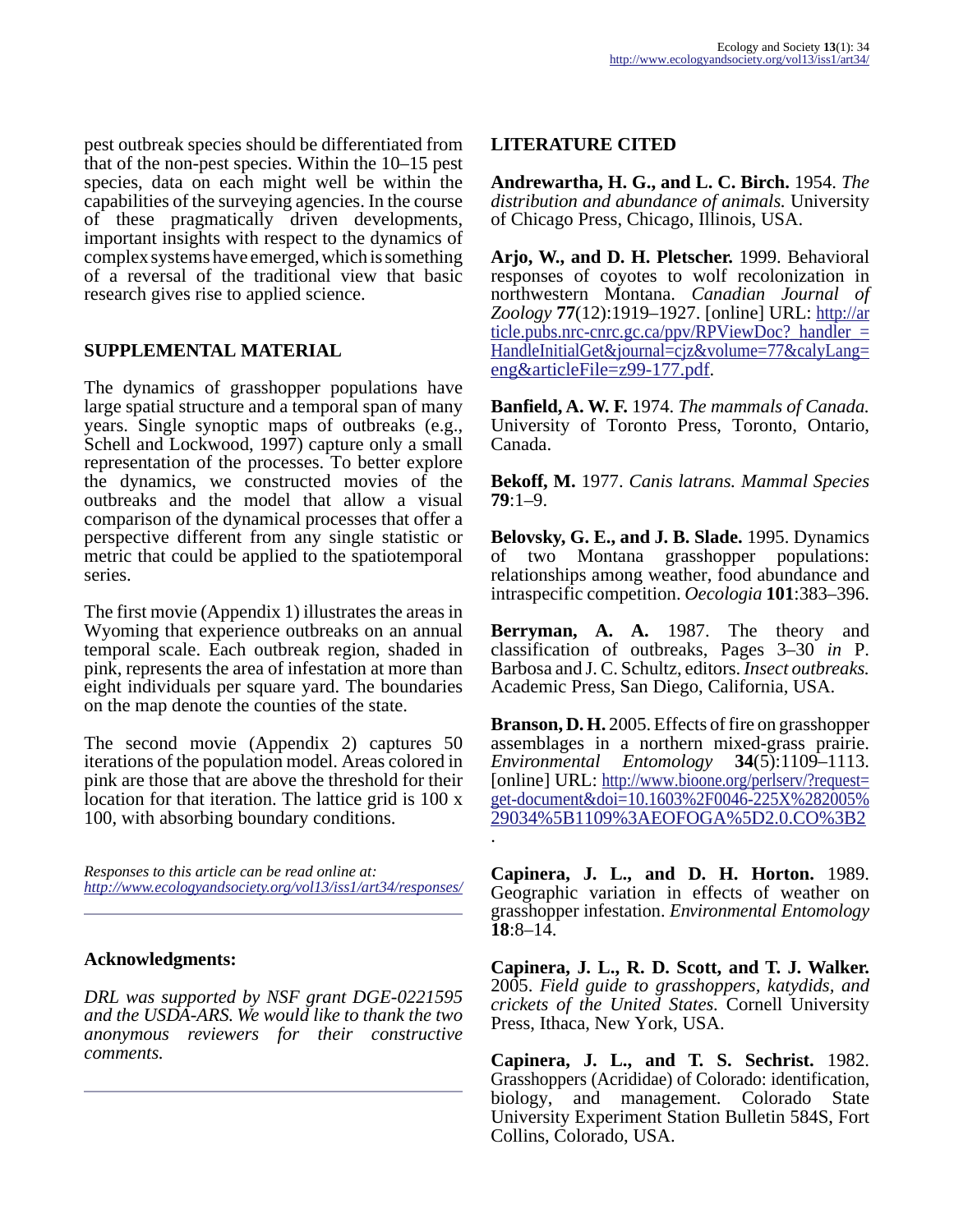pest outbreak species should be differentiated from that of the non-pest species. Within the 10–15 pest species, data on each might well be within the capabilities of the surveying agencies. In the course of these pragmatically driven developments, important insights with respect to the dynamics of complex systems have emerged, which is something of a reversal of the traditional view that basic research gives rise to applied science.

# **SUPPLEMENTAL MATERIAL**

The dynamics of grasshopper populations have large spatial structure and a temporal span of many years. Single synoptic maps of outbreaks (e.g., Schell and Lockwood, 1997) capture only a small representation of the processes. To better explore the dynamics, we constructed movies of the outbreaks and the model that allow a visual comparison of the dynamical processes that offer a perspective different from any single statistic or metric that could be applied to the spatiotemporal series.

The first movie (Appendix 1) illustrates the areas in Wyoming that experience outbreaks on an annual temporal scale. Each outbreak region, shaded in pink, represents the area of infestation at more than eight individuals per square yard. The boundaries on the map denote the counties of the state.

The second movie (Appendix 2) captures 50 iterations of the population model. Areas colored in pink are those that are above the threshold for their location for that iteration. The lattice grid is 100 x 100, with absorbing boundary conditions.

*Responses to this article can be read online at: <http://www.ecologyandsociety.org/vol13/iss1/art34/responses/>*

## **Acknowledgments:**

*DRL was supported by NSF grant DGE-0221595 and the USDA-ARS. We would like to thank the two anonymous reviewers for their constructive comments.*

### **LITERATURE CITED**

**Andrewartha, H. G., and L. C. Birch.** 1954. *The distribution and abundance of animals.* University of Chicago Press, Chicago, Illinois, USA.

**Arjo, W., and D. H. Pletscher.** 1999. Behavioral responses of coyotes to wolf recolonization in northwestern Montana. *Canadian Journal of Zoology* **77**(12):1919–1927. [online] URL: [http://ar](http://article.pubs.nrc-cnrc.gc.ca/ppv/RPViewDoc?_handler_=HandleInitialGet&journal=cjz&volume=77&calyLang=eng&articleFile=z99-177.pdf) ticle.pubs.nrc-cnrc.gc.ca/ppv/RPViewDoc? handler  $=$ HandleInitialGet&journal=cjz&volume=77&calyLang= [eng&articleFile=z99-177.pdf](http://article.pubs.nrc-cnrc.gc.ca/ppv/RPViewDoc?_handler_=HandleInitialGet&journal=cjz&volume=77&calyLang=eng&articleFile=z99-177.pdf).

**Banfield, A. W. F.** 1974. *The mammals of Canada.* University of Toronto Press, Toronto, Ontario, Canada.

**Bekoff, M.** 1977. *Canis latrans. Mammal Species* **79**:1–9.

**Belovsky, G. E., and J. B. Slade.** 1995. Dynamics of two Montana grasshopper populations: relationships among weather, food abundance and intraspecific competition. *Oecologia* **101**:383–396.

**Berryman, A. A.** 1987. The theory and classification of outbreaks, Pages 3–30 *in* P. Barbosa and J. C. Schultz, editors. *Insect outbreaks.* Academic Press, San Diego, California, USA.

**Branson, D. H.** 2005. Effects of fire on grasshopper assemblages in a northern mixed-grass prairie. *Environmental Entomology* **34**(5):1109–1113. [online] URL: [http://www.bioone.org/perlserv/?request=](http://www.bioone.org/perlserv/?request=get-document&doi=10.1603%2F0046-225X%282005%29034%5B1109%3AEOFOGA%5D2.0.CO%3B2) [get-document&doi=10.1603%2F0046-225X%282005%](http://www.bioone.org/perlserv/?request=get-document&doi=10.1603%2F0046-225X%282005%29034%5B1109%3AEOFOGA%5D2.0.CO%3B2) [29034%5B1109%3AEOFOGA%5D2.0.CO%3B2](http://www.bioone.org/perlserv/?request=get-document&doi=10.1603%2F0046-225X%282005%29034%5B1109%3AEOFOGA%5D2.0.CO%3B2) .

**Capinera, J. L., and D. H. Horton.** 1989. Geographic variation in effects of weather on grasshopper infestation. *Environmental Entomology* **18**:8–14.

**Capinera, J. L., R. D. Scott, and T. J. Walker.** 2005. *Field guide to grasshoppers, katydids, and crickets of the United States.* Cornell University Press, Ithaca, New York, USA.

**Capinera, J. L., and T. S. Sechrist.** 1982. Grasshoppers (Acrididae) of Colorado: identification, biology, and management. Colorado State University Experiment Station Bulletin 584S, Fort Collins, Colorado, USA.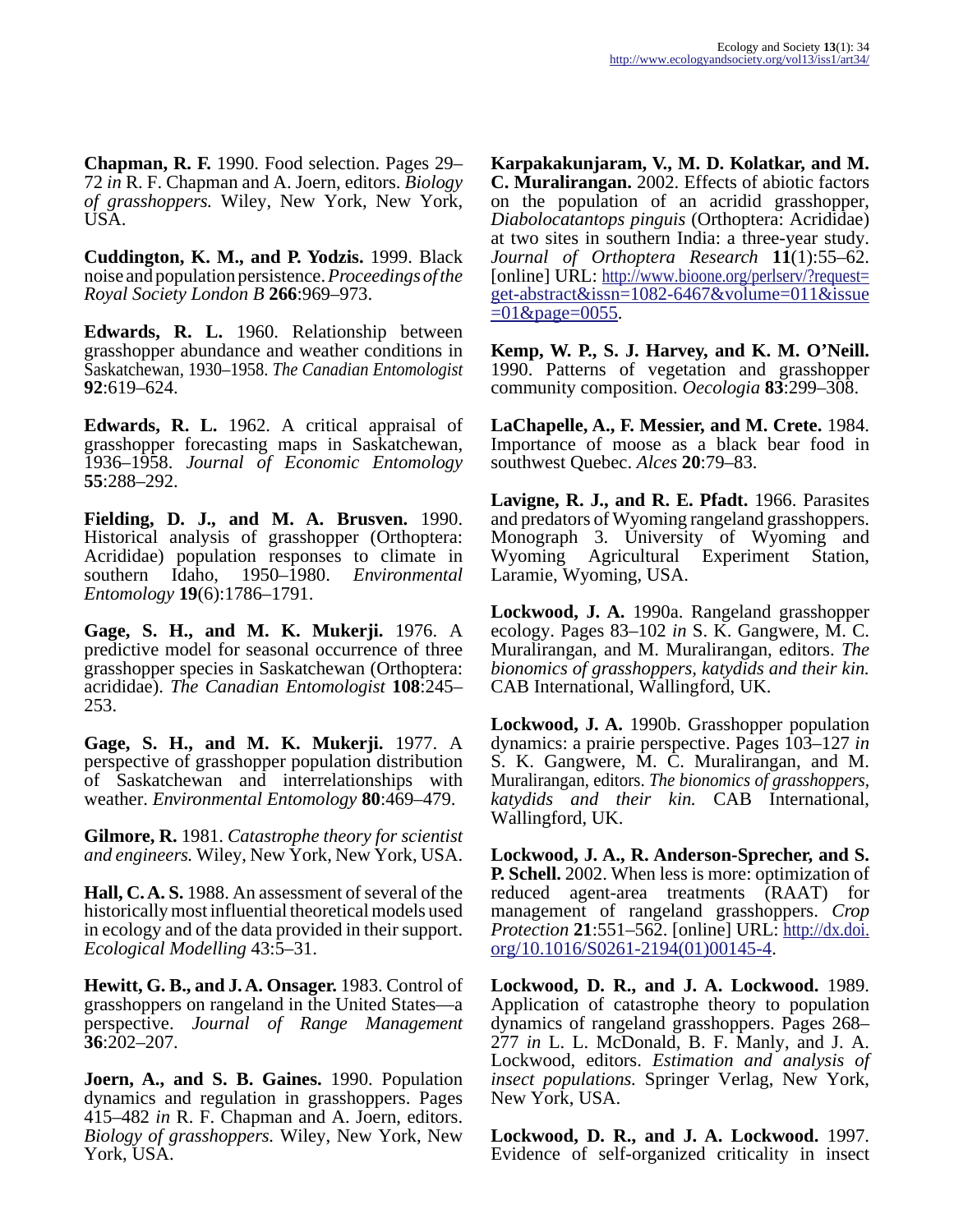**Chapman, R. F.** 1990. Food selection. Pages 29– 72 *in* R. F. Chapman and A. Joern, editors. *Biology of grasshoppers.* Wiley, New York, New York, USA.

**Cuddington, K. M., and P. Yodzis.** 1999. Black noise and population persistence. *Proceedings of the Royal Society London B* **266**:969–973.

**Edwards, R. L.** 1960. Relationship between grasshopper abundance and weather conditions in Saskatchewan, 1930–1958. *The Canadian Entomologist* **92**:619–624.

**Edwards, R. L.** 1962. A critical appraisal of grasshopper forecasting maps in Saskatchewan, 1936–1958. *Journal of Economic Entomology* **55**:288–292.

**Fielding, D. J., and M. A. Brusven.** 1990. Historical analysis of grasshopper (Orthoptera: Acrididae) population responses to climate in southern Idaho, 1950–1980. *Environmental Entomology* **19**(6):1786–1791.

**Gage, S. H., and M. K. Mukerji.** 1976. A predictive model for seasonal occurrence of three grasshopper species in Saskatchewan (Orthoptera: acrididae). *The Canadian Entomologist* **108**:245– 253.

**Gage, S. H., and M. K. Mukerji.** 1977. A perspective of grasshopper population distribution of Saskatchewan and interrelationships with weather. *Environmental Entomology* **80**:469–479.

**Gilmore, R.** 1981. *Catastrophe theory for scientist and engineers.* Wiley, New York, New York, USA.

**Hall, C. A. S.** 1988. An assessment of several of the historically most influential theoretical models used in ecology and of the data provided in their support. *Ecological Modelling* 43:5–31.

**Hewitt, G. B., and J. A. Onsager.** 1983. Control of grasshoppers on rangeland in the United States—a perspective. *Journal of Range Management* **36**:202–207.

**Joern, A., and S. B. Gaines.** 1990. Population dynamics and regulation in grasshoppers. Pages 415–482 *in* R. F. Chapman and A. Joern, editors. *Biology of grasshoppers.* Wiley, New York, New York, USA.

**Karpakakunjaram, V., M. D. Kolatkar, and M. C. Muralirangan.** 2002. Effects of abiotic factors on the population of an acridid grasshopper, *Diabolocatantops pinguis* (Orthoptera: Acrididae) at two sites in southern India: a three-year study. *Journal of Orthoptera Research* **11**(1):55–62. [online] URL: [http://www.bioone.org/perlserv/?request=](http://www.bioone.org/perlserv/?request=get-abstract&issn=1082-6467&volume=011&issue=01&page=0055) [get-abstract&issn=1082-6467&volume=011&issue](http://www.bioone.org/perlserv/?request=get-abstract&issn=1082-6467&volume=011&issue=01&page=0055)  $=01$ &page=0055.

**Kemp, W. P., S. J. Harvey, and K. M. O'Neill.** 1990. Patterns of vegetation and grasshopper community composition. *Oecologia* **83**:299–308.

**LaChapelle, A., F. Messier, and M. Crete.** 1984. Importance of moose as a black bear food in southwest Quebec. *Alces* **20**:79–83.

**Lavigne, R. J., and R. E. Pfadt.** 1966. Parasites and predators of Wyoming rangeland grasshoppers. Monograph 3. University of Wyoming and Wyoming Agricultural Experiment Station, Laramie, Wyoming, USA.

**Lockwood, J. A.** 1990a. Rangeland grasshopper ecology. Pages 83–102 *in* S. K. Gangwere, M. C. Muralirangan, and M. Muralirangan, editors. *The bionomics of grasshoppers, katydids and their kin.* CAB International, Wallingford, UK.

**Lockwood, J. A.** 1990b. Grasshopper population dynamics: a prairie perspective. Pages 103–127 *in* S. K. Gangwere, M. C. Muralirangan, and M. Muralirangan, editors. *The bionomics of grasshoppers, katydids and their kin.* CAB International, Wallingford, UK.

**Lockwood, J. A., R. Anderson-Sprecher, and S. P. Schell.** 2002. When less is more: optimization of reduced agent-area treatments (RAAT) for management of rangeland grasshoppers. *Crop Protection* **21**:551–562. [online] URL: [http://dx.doi.](http://dx.doi.org/10.1016/S0261-2194(01)00145-4) [org/10.1016/S0261-2194\(01\)00145-4](http://dx.doi.org/10.1016/S0261-2194(01)00145-4).

**Lockwood, D. R., and J. A. Lockwood.** 1989. Application of catastrophe theory to population dynamics of rangeland grasshoppers. Pages 268– 277 *in* L. L. McDonald, B. F. Manly, and J. A. Lockwood, editors. *Estimation and analysis of insect populations.* Springer Verlag, New York, New York, USA.

**Lockwood, D. R., and J. A. Lockwood.** 1997. Evidence of self-organized criticality in insect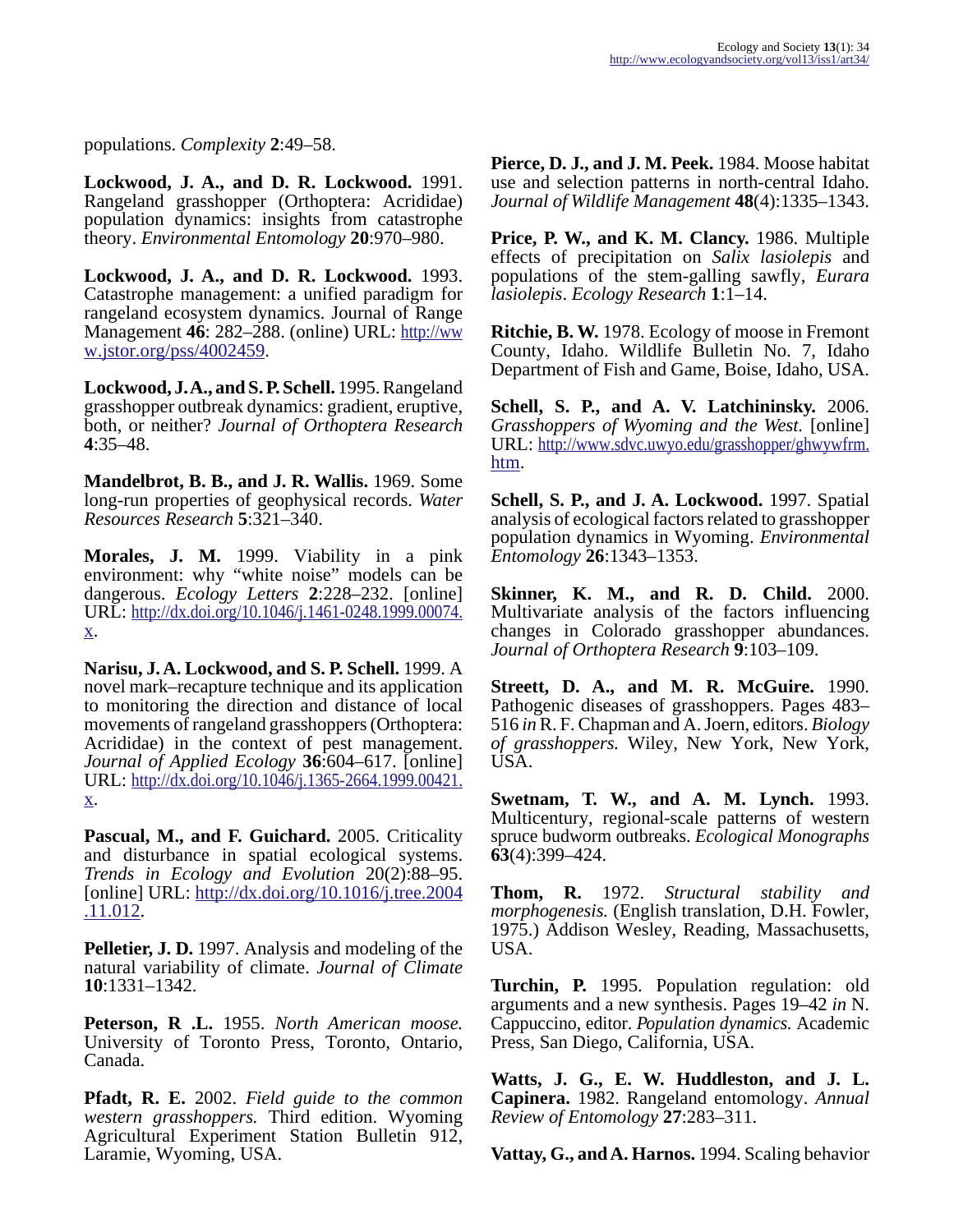populations. *Complexity* **2**:49–58.

**Lockwood, J. A., and D. R. Lockwood.** 1991. Rangeland grasshopper (Orthoptera: Acrididae) population dynamics: insights from catastrophe theory. *Environmental Entomology* **20**:970–980.

**Lockwood, J. A., and D. R. Lockwood.** 1993. Catastrophe management: a unified paradigm for rangeland ecosystem dynamics. Journal of Range Management **46**: 282–288. (online) URL: [http://ww](http://www.jstor.org/pss/4002459) [w.jstor.org/pss/4002459](http://www.jstor.org/pss/4002459).

**Lockwood, J. A., and S. P. Schell.** 1995. Rangeland grasshopper outbreak dynamics: gradient, eruptive, both, or neither? *Journal of Orthoptera Research* **4**:35–48.

**Mandelbrot, B. B., and J. R. Wallis.** 1969. Some long-run properties of geophysical records. *Water Resources Research* **5**:321–340.

**Morales, J. M.** 1999. Viability in a pink environment: why "white noise" models can be dangerous. *Ecology Letters* **2**:228–232. [online] URL: [http://dx.doi.org/10.1046/j.1461-0248.1999.00074.](http://dx.doi.org/10.1046/j.1461-0248.1999.00074.x) [x](http://dx.doi.org/10.1046/j.1461-0248.1999.00074.x).

**Narisu, J. A. Lockwood, and S. P. Schell.** 1999. A novel mark–recapture technique and its application to monitoring the direction and distance of local movements of rangeland grasshoppers (Orthoptera: Acrididae) in the context of pest management. *Journal of Applied Ecology* **36**:604–617. [online] URL: [http://dx.doi.org/10.1046/j.1365-2664.1999.00421.](http://dx.doi.org/10.1046/j.1365-2664.1999.00421.x) [x](http://dx.doi.org/10.1046/j.1365-2664.1999.00421.x).

**Pascual, M., and F. Guichard.** 2005. Criticality and disturbance in spatial ecological systems. *Trends in Ecology and Evolution* 20(2):88–95. [online] URL: [http://dx.doi.org/10.1016/j.tree.2004](http://dx.doi.org/10.1016/j.tree.2004.11.012) [.11.012](http://dx.doi.org/10.1016/j.tree.2004.11.012).

**Pelletier, J. D.** 1997. Analysis and modeling of the natural variability of climate. *Journal of Climate* **10**:1331–1342.

**Peterson, R .L.** 1955. *North American moose.* University of Toronto Press, Toronto, Ontario, Canada.

**Pfadt, R. E.** 2002. *Field guide to the common western grasshoppers.* Third edition. Wyoming Agricultural Experiment Station Bulletin 912, Laramie, Wyoming, USA.

**Pierce, D. J., and J. M. Peek.** 1984. Moose habitat use and selection patterns in north-central Idaho. *Journal of Wildlife Management* **48**(4):1335–1343.

**Price, P. W., and K. M. Clancy.** 1986. Multiple effects of precipitation on *Salix lasiolepis* and populations of the stem-galling sawfly, *Eurara lasiolepis*. *Ecology Research* **1**:1–14.

**Ritchie, B. W.** 1978. Ecology of moose in Fremont County, Idaho. Wildlife Bulletin No. 7, Idaho Department of Fish and Game, Boise, Idaho, USA.

**Schell, S. P., and A. V. Latchininsky.** 2006. *Grasshoppers of Wyoming and the West.* [online] URL: [http://www.sdvc.uwyo.edu/grasshopper/ghwywfrm.](http://www.sdvc.uwyo.edu/grasshopper/ghwywfrm.htm) [htm.](http://www.sdvc.uwyo.edu/grasshopper/ghwywfrm.htm)

**Schell, S. P., and J. A. Lockwood.** 1997. Spatial analysis of ecological factors related to grasshopper population dynamics in Wyoming. *Environmental Entomology* **26**:1343–1353.

**Skinner, K. M., and R. D. Child.** 2000. Multivariate analysis of the factors influencing changes in Colorado grasshopper abundances. *Journal of Orthoptera Research* **9**:103–109.

**Streett, D. A., and M. R. McGuire.** 1990. Pathogenic diseases of grasshoppers. Pages 483– 516 *in* R. F. Chapman and A. Joern, editors. *Biology of grasshoppers.* Wiley, New York, New York, USA.

**Swetnam, T. W., and A. M. Lynch.** 1993. Multicentury, regional-scale patterns of western spruce budworm outbreaks. *Ecological Monographs* **63**(4):399–424.

**Thom, R.** 1972. *Structural stability and morphogenesis.* (English translation, D.H. Fowler, 1975.) Addison Wesley, Reading, Massachusetts, USA.

**Turchin, P.** 1995. Population regulation: old arguments and a new synthesis. Pages 19–42 *in* N. Cappuccino, editor. *Population dynamics.* Academic Press, San Diego, California, USA.

**Watts, J. G., E. W. Huddleston, and J. L. Capinera.** 1982. Rangeland entomology. *Annual Review of Entomology* **27**:283–311.

**Vattay, G., and A. Harnos.** 1994. Scaling behavior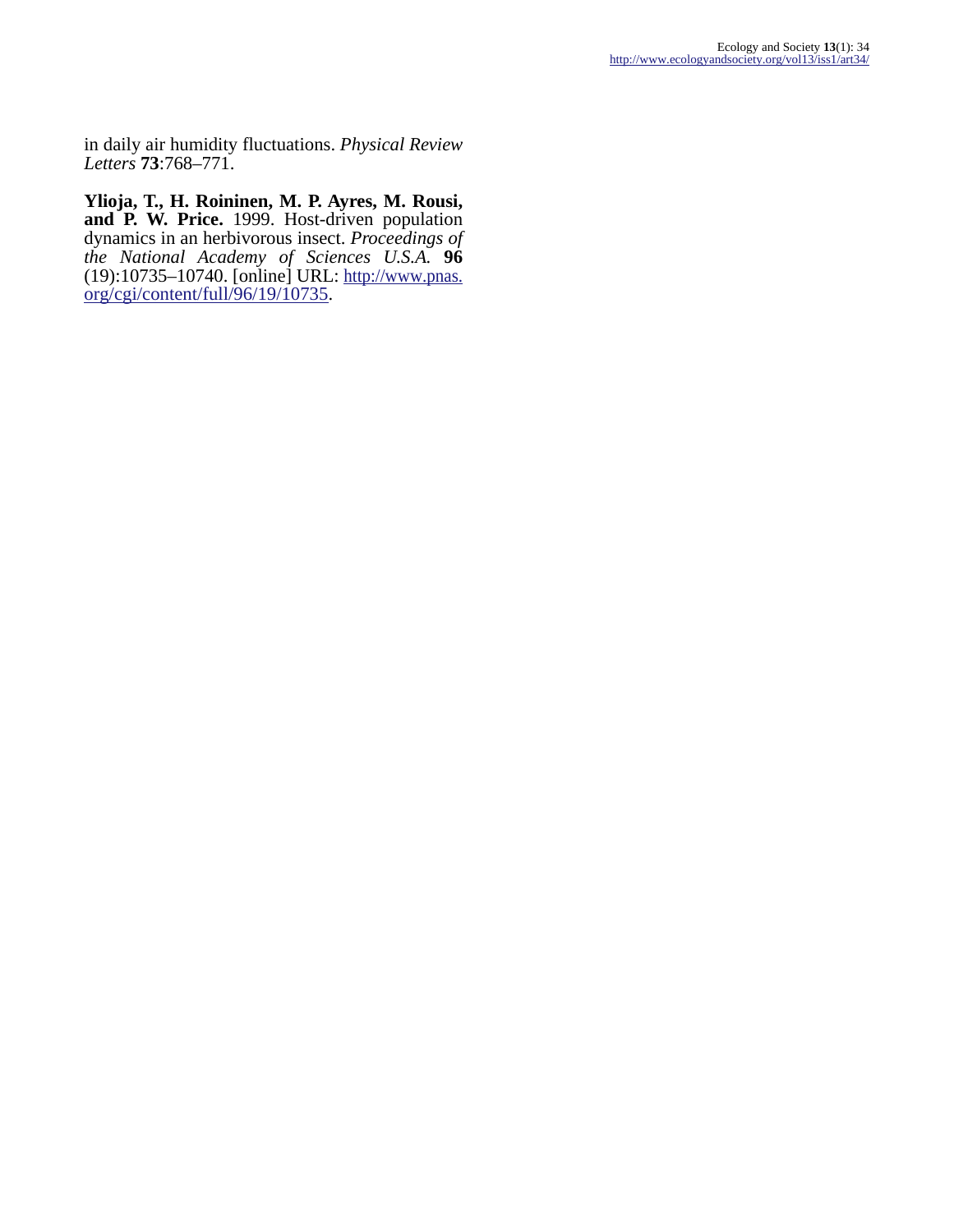in daily air humidity fluctuations. *Physical Review Letters* **73**:768–771.

**Ylioja, T., H. Roininen, M. P. Ayres, M. Rousi, and P. W. Price.** 1999. Host-driven population dynamics in an herbivorous insect. *Proceedings of the National Academy of Sciences U.S.A.* **96** (19):10735–10740. [online] URL: [http://www.pnas.](http://www.pnas.org/cgi/content/full/96/19/10735) [org/cgi/content/full/96/19/10735.](http://www.pnas.org/cgi/content/full/96/19/10735)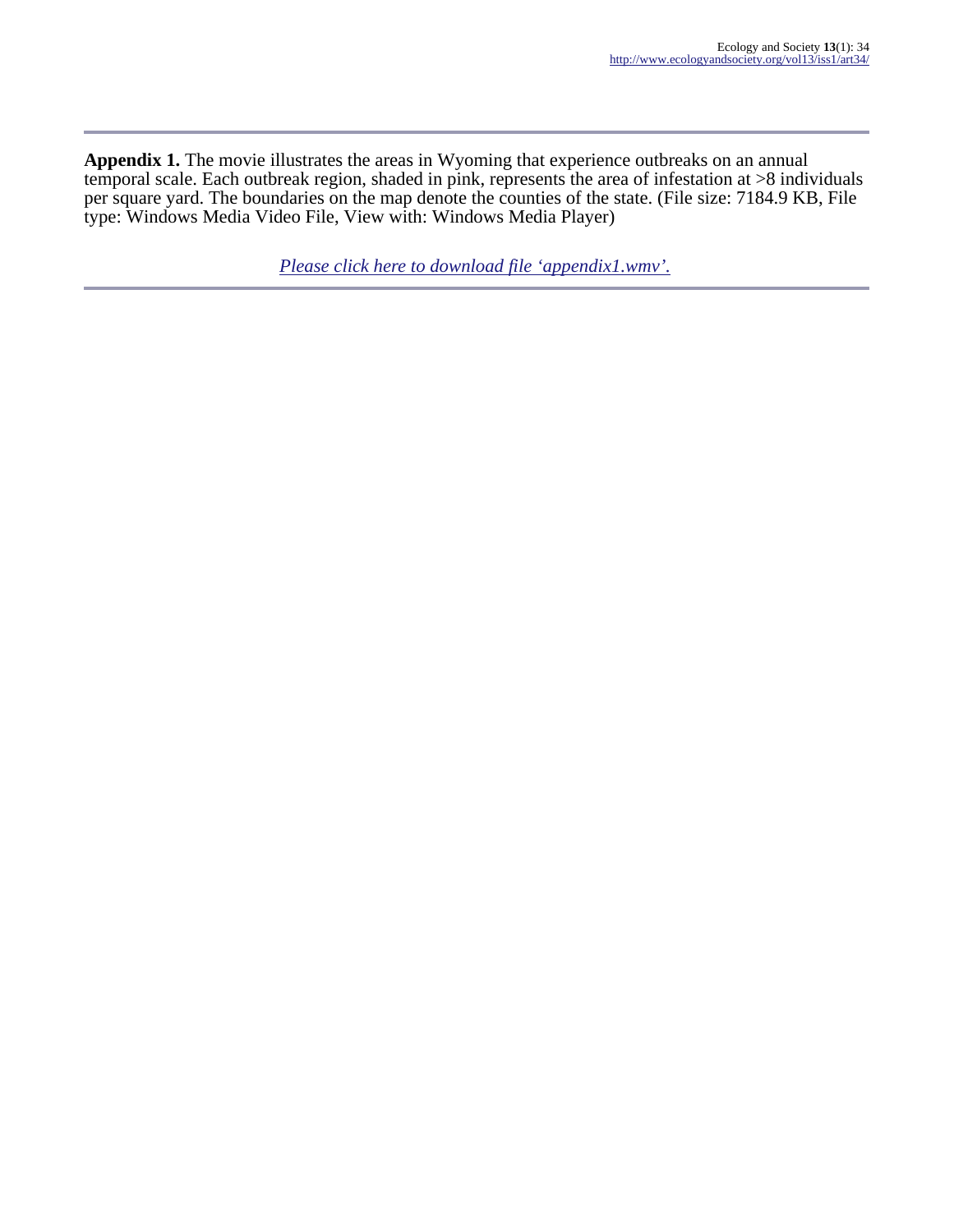**Appendix 1.** The movie illustrates the areas in Wyoming that experience outbreaks on an annual temporal scale. Each outbreak region, shaded in pink, represents the area of infestation at >8 individuals per square yard. The boundaries on the map denote the counties of the state. (File size: 7184.9 KB, File type: Windows Media Video File, View with: Windows Media Player)

*[Please click here to download file 'appendix1.wmv'.](http://www.ecologyandsociety.org/2496/appendix1.wmv)*